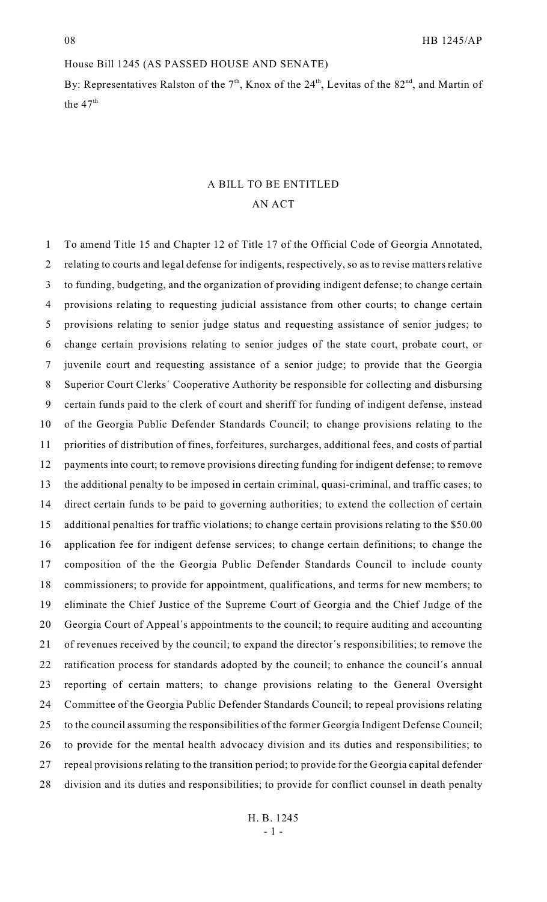#### House Bill 1245 (AS PASSED HOUSE AND SENATE)

By: Representatives Ralston of the  $7<sup>th</sup>$ , Knox of the  $24<sup>th</sup>$ , Levitas of the  $82<sup>nd</sup>$ , and Martin of the  $47<sup>th</sup>$ 

## A BILL TO BE ENTITLED AN ACT

 To amend Title 15 and Chapter 12 of Title 17 of the Official Code of Georgia Annotated, relating to courts and legal defense for indigents, respectively, so as to revise matters relative to funding, budgeting, and the organization of providing indigent defense; to change certain provisions relating to requesting judicial assistance from other courts; to change certain provisions relating to senior judge status and requesting assistance of senior judges; to change certain provisions relating to senior judges of the state court, probate court, or juvenile court and requesting assistance of a senior judge; to provide that the Georgia Superior Court Clerks´ Cooperative Authority be responsible for collecting and disbursing certain funds paid to the clerk of court and sheriff for funding of indigent defense, instead of the Georgia Public Defender Standards Council; to change provisions relating to the priorities of distribution of fines, forfeitures, surcharges, additional fees, and costs of partial 12 payments into court; to remove provisions directing funding for indigent defense; to remove the additional penalty to be imposed in certain criminal, quasi-criminal, and traffic cases; to direct certain funds to be paid to governing authorities; to extend the collection of certain additional penalties for traffic violations; to change certain provisions relating to the \$50.00 application fee for indigent defense services; to change certain definitions; to change the composition of the the Georgia Public Defender Standards Council to include county commissioners; to provide for appointment, qualifications, and terms for new members; to eliminate the Chief Justice of the Supreme Court of Georgia and the Chief Judge of the Georgia Court of Appeal´s appointments to the council; to require auditing and accounting of revenues received by the council; to expand the director´s responsibilities; to remove the ratification process for standards adopted by the council; to enhance the council´s annual reporting of certain matters; to change provisions relating to the General Oversight Committee of the Georgia Public Defender Standards Council; to repeal provisions relating to the council assuming the responsibilities of the former Georgia Indigent Defense Council; to provide for the mental health advocacy division and its duties and responsibilities; to repeal provisions relating to the transition period; to provide for the Georgia capital defender division and its duties and responsibilities; to provide for conflict counsel in death penalty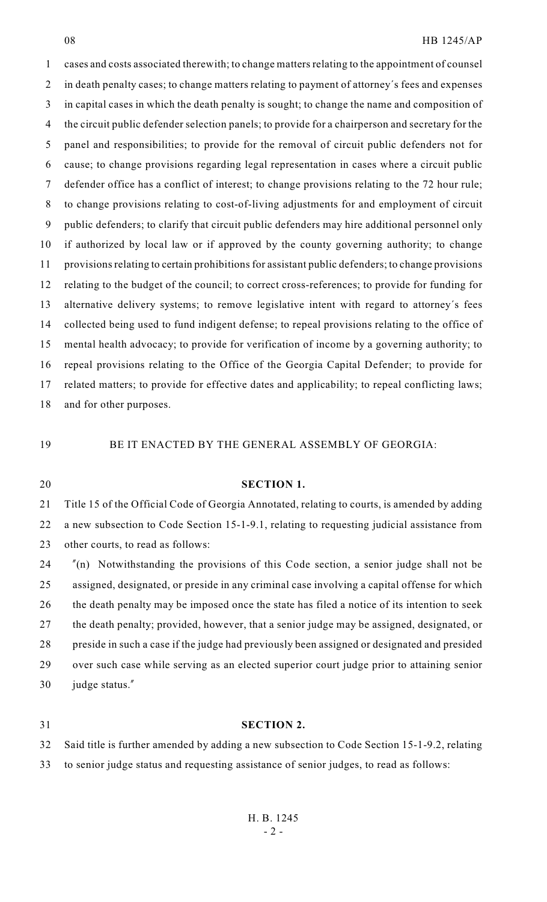cases and costs associated therewith; to change matters relating to the appointment of counsel in death penalty cases; to change matters relating to payment of attorney´s fees and expenses in capital cases in which the death penalty is sought; to change the name and composition of the circuit public defender selection panels; to provide for a chairperson and secretary for the panel and responsibilities; to provide for the removal of circuit public defenders not for cause; to change provisions regarding legal representation in cases where a circuit public defender office has a conflict of interest; to change provisions relating to the 72 hour rule; to change provisions relating to cost-of-living adjustments for and employment of circuit public defenders; to clarify that circuit public defenders may hire additional personnel only if authorized by local law or if approved by the county governing authority; to change provisions relating to certain prohibitions for assistant public defenders; to change provisions relating to the budget of the council; to correct cross-references; to provide for funding for alternative delivery systems; to remove legislative intent with regard to attorney´s fees collected being used to fund indigent defense; to repeal provisions relating to the office of mental health advocacy; to provide for verification of income by a governing authority; to repeal provisions relating to the Office of the Georgia Capital Defender; to provide for related matters; to provide for effective dates and applicability; to repeal conflicting laws; and for other purposes.

19 BE IT ENACTED BY THE GENERAL ASSEMBLY OF GEORGIA:

#### **SECTION 1.**

 Title 15 of the Official Code of Georgia Annotated, relating to courts, is amended by adding a new subsection to Code Section 15-1-9.1, relating to requesting judicial assistance from other courts, to read as follows:

 "(n) Notwithstanding the provisions of this Code section, a senior judge shall not be assigned, designated, or preside in any criminal case involving a capital offense for which 26 the death penalty may be imposed once the state has filed a notice of its intention to seek the death penalty; provided, however, that a senior judge may be assigned, designated, or preside in such a case if the judge had previously been assigned or designated and presided over such case while serving as an elected superior court judge prior to attaining senior judge status."

#### **SECTION 2.**

 Said title is further amended by adding a new subsection to Code Section 15-1-9.2, relating to senior judge status and requesting assistance of senior judges, to read as follows: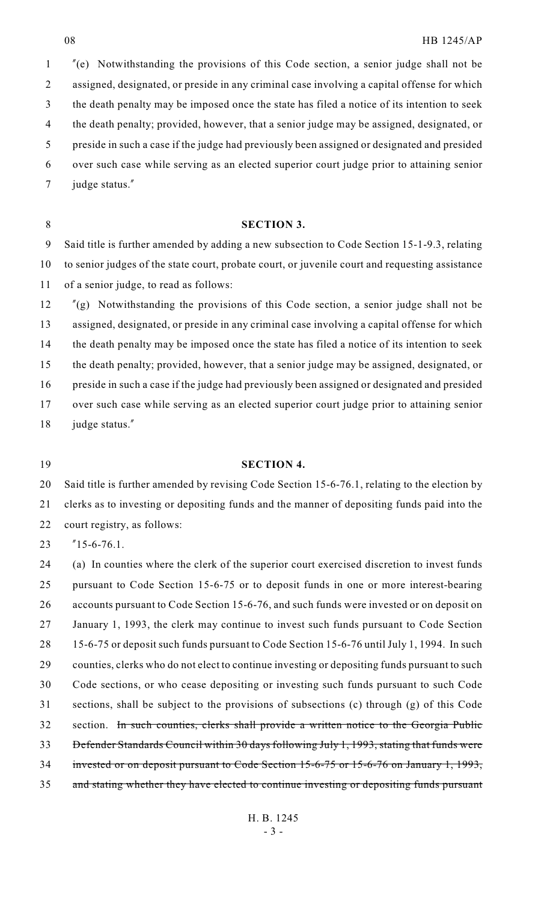"(e) Notwithstanding the provisions of this Code section, a senior judge shall not be assigned, designated, or preside in any criminal case involving a capital offense for which the death penalty may be imposed once the state has filed a notice of its intention to seek the death penalty; provided, however, that a senior judge may be assigned, designated, or preside in such a case if the judge had previously been assigned or designated and presided over such case while serving as an elected superior court judge prior to attaining senior judge status."

#### **SECTION 3.**

 Said title is further amended by adding a new subsection to Code Section 15-1-9.3, relating to senior judges of the state court, probate court, or juvenile court and requesting assistance of a senior judge, to read as follows:

 "(g) Notwithstanding the provisions of this Code section, a senior judge shall not be assigned, designated, or preside in any criminal case involving a capital offense for which the death penalty may be imposed once the state has filed a notice of its intention to seek the death penalty; provided, however, that a senior judge may be assigned, designated, or preside in such a case if the judge had previously been assigned or designated and presided over such case while serving as an elected superior court judge prior to attaining senior judge status."

#### **SECTION 4.**

 Said title is further amended by revising Code Section 15-6-76.1, relating to the election by clerks as to investing or depositing funds and the manner of depositing funds paid into the court registry, as follows:

"15-6-76.1.

 (a) In counties where the clerk of the superior court exercised discretion to invest funds pursuant to Code Section 15-6-75 or to deposit funds in one or more interest-bearing accounts pursuant to Code Section 15-6-76, and such funds were invested or on deposit on January 1, 1993, the clerk may continue to invest such funds pursuant to Code Section 15-6-75 or deposit such funds pursuant to Code Section 15-6-76 until July 1, 1994. In such counties, clerks who do not elect to continue investing or depositing funds pursuant to such Code sections, or who cease depositing or investing such funds pursuant to such Code sections, shall be subject to the provisions of subsections (c) through (g) of this Code section. In such counties, clerks shall provide a written notice to the Georgia Public Defender Standards Council within 30 days following July 1, 1993, stating that funds were invested or on deposit pursuant to Code Section 15-6-75 or 15-6-76 on January 1, 1993, 35 and stating whether they have elected to continue investing or depositing funds pursuant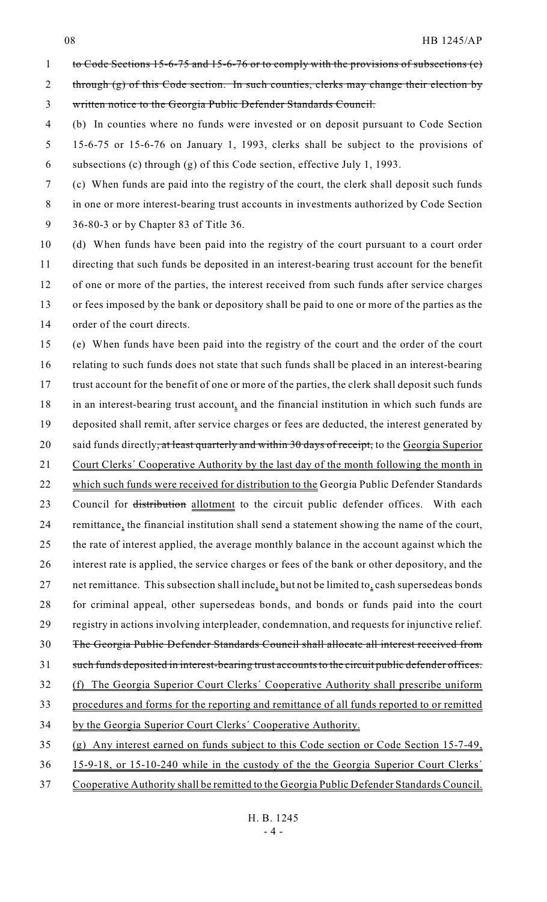1 to Code Sections 15-6-75 and 15-6-76 or to comply with the provisions of subsections (c)

2 through (g) of this Code section. In such counties, clerks may change their election by 3 written notice to the Georgia Public Defender Standards Council.

- 4 (b) In counties where no funds were invested or on deposit pursuant to Code Section 5 15-6-75 or 15-6-76 on January 1, 1993, clerks shall be subject to the provisions of 6 subsections (c) through (g) of this Code section, effective July 1, 1993.
- 7 (c) When funds are paid into the registry of the court, the clerk shall deposit such funds 8 in one or more interest-bearing trust accounts in investments authorized by Code Section 9 36-80-3 or by Chapter 83 of Title 36.
- 10 (d) When funds have been paid into the registry of the court pursuant to a court order 11 directing that such funds be deposited in an interest-bearing trust account for the benefit 12 of one or more of the parties, the interest received from such funds after service charges 13 or fees imposed by the bank or depository shall be paid to one or more of the parties as the 14 order of the court directs.
- 15 (e) When funds have been paid into the registry of the court and the order of the court 16 relating to such funds does not state that such funds shall be placed in an interest-bearing 17 trust account for the benefit of one or more of the parties, the clerk shall deposit such funds 18 in an interest-bearing trust account, and the financial institution in which such funds are 19 deposited shall remit, after service charges or fees are deducted, the interest generated by 20 said funds directly<del>, at least quarterly and within 30 days of receipt,</del> to the Georgia Superior 21 Court Clerks' Cooperative Authority by the last day of the month following the month in 22 which such funds were received for distribution to the Georgia Public Defender Standards 23 Council for distribution allotment to the circuit public defender offices. With each 24 remittance, the financial institution shall send a statement showing the name of the court, 25 the rate of interest applied, the average monthly balance in the account against which the 26 interest rate is applied, the service charges or fees of the bank or other depository, and the 27 net remittance. This subsection shall include, but not be limited to, cash supersedeas bonds 28 for criminal appeal, other supersedeas bonds, and bonds or funds paid into the court 29 registry in actions involving interpleader, condemnation, and requests for injunctive relief. 30 The Georgia Public Defender Standards Council shall allocate all interest received from 31 such funds deposited in interest-bearing trust accounts to the circuit public defender offices. 32 (f) The Georgia Superior Court Clerks' Cooperative Authority shall prescribe uniform 33 procedures and forms for the reporting and remittance of all funds reported to or remitted 34 by the Georgia Superior Court Clerks' Cooperative Authority. 35 (g) Any interest earned on funds subject to this Code section or Code Section 15-7-49,
- 36 15-9-18, or 15-10-240 while in the custody of the the Georgia Superior Court Clerks´
- 37 Cooperative Authority shall be remitted to the Georgia Public Defender Standards Council.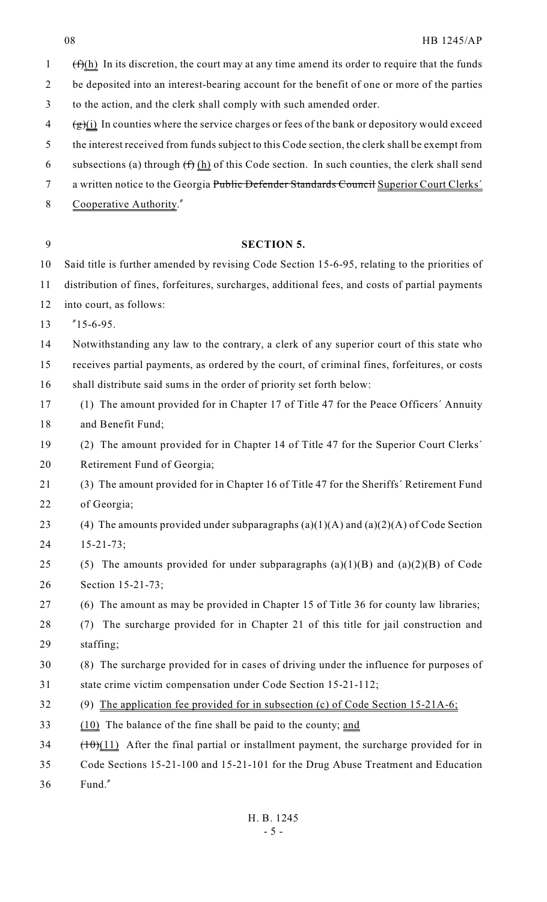|  | $(f)(h)$ In its discretion, the court may at any time amend its order to require that the funds |  |  |  |  |  |  |  |
|--|-------------------------------------------------------------------------------------------------|--|--|--|--|--|--|--|
|  |                                                                                                 |  |  |  |  |  |  |  |

- be deposited into an interest-bearing account for the benefit of one or more of the parties
- to the action, and the clerk shall comply with such amended order.
- $\frac{1}{(g)(i)}$  In counties where the service charges or fees of the bank or depository would exceed
- the interest received from funds subject to this Code section, the clerk shall be exempt from
- 6 subsections (a) through  $(f)$  (h) of this Code section. In such counties, the clerk shall send
- 7 a written notice to the Georgia Public Defender Standards Council Superior Court Clerks'

8 Cooperative Authority."

| 9  | <b>SECTION 5.</b>                                                                              |
|----|------------------------------------------------------------------------------------------------|
| 10 | Said title is further amended by revising Code Section 15-6-95, relating to the priorities of  |
| 11 | distribution of fines, forfeitures, surcharges, additional fees, and costs of partial payments |
| 12 | into court, as follows:                                                                        |
| 13 | $"15-6-95.$                                                                                    |
| 14 | Notwithstanding any law to the contrary, a clerk of any superior court of this state who       |
| 15 | receives partial payments, as ordered by the court, of criminal fines, forfeitures, or costs   |
| 16 | shall distribute said sums in the order of priority set forth below:                           |
| 17 | (1) The amount provided for in Chapter 17 of Title 47 for the Peace Officers' Annuity          |
| 18 | and Benefit Fund;                                                                              |
| 19 | (2) The amount provided for in Chapter 14 of Title 47 for the Superior Court Clerks'           |
| 20 | Retirement Fund of Georgia;                                                                    |
| 21 | (3) The amount provided for in Chapter 16 of Title 47 for the Sheriffs' Retirement Fund        |
| 22 | of Georgia;                                                                                    |
| 23 | (4) The amounts provided under subparagraphs $(a)(1)(A)$ and $(a)(2)(A)$ of Code Section       |
| 24 | $15 - 21 - 73$ ;                                                                               |
| 25 | (5) The amounts provided for under subparagraphs $(a)(1)(B)$ and $(a)(2)(B)$ of Code           |
| 26 | Section 15-21-73;                                                                              |
| 27 | (6) The amount as may be provided in Chapter 15 of Title 36 for county law libraries;          |
| 28 | The surcharge provided for in Chapter 21 of this title for jail construction and<br>(7)        |
| 29 | staffing;                                                                                      |
| 30 | (8) The surcharge provided for in cases of driving under the influence for purposes of         |
| 31 | state crime victim compensation under Code Section 15-21-112;                                  |
| 32 | (9) The application fee provided for in subsection (c) of Code Section $15-21A-6$ ;            |
| 33 | (10) The balance of the fine shall be paid to the county; and                                  |
| 34 | $(\pm 0)(11)$ After the final partial or installment payment, the surcharge provided for in    |
| 35 | Code Sections 15-21-100 and 15-21-101 for the Drug Abuse Treatment and Education               |
| 36 | Fund."                                                                                         |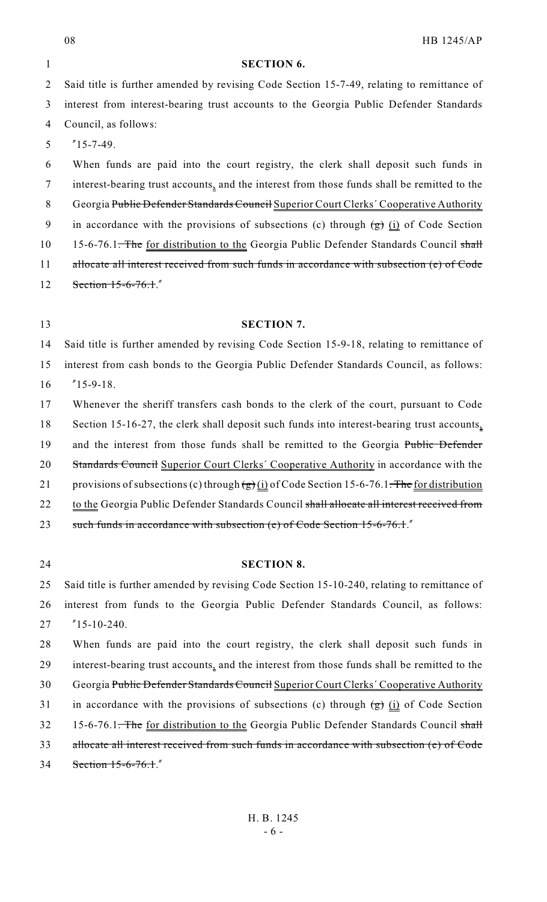### 1 **SECTION 6.**

 Said title is further amended by revising Code Section 15-7-49, relating to remittance of interest from interest-bearing trust accounts to the Georgia Public Defender Standards Council, as follows: "15-7-49. When funds are paid into the court registry, the clerk shall deposit such funds in interest-bearing trust accounts, and the interest from those funds shall be remitted to the 8 Georgia Public Defender Standards Council Superior Court Clerks' Cooperative Authority 9 in accordance with the provisions of subsections (c) through  $(g)$  (i) of Code Section 10 15-6-76.1<del>. The</del> for distribution to the Georgia Public Defender Standards Council shall allocate all interest received from such funds in accordance with subsection (e) of Code 12 Section 15-6-76.1." **SECTION 7.** Said title is further amended by revising Code Section 15-9-18, relating to remittance of interest from cash bonds to the Georgia Public Defender Standards Council, as follows:

16 "15-9-18.

17 Whenever the sheriff transfers cash bonds to the clerk of the court, pursuant to Code 18 Section 15-16-27, the clerk shall deposit such funds into interest-bearing trust accounts, 19 and the interest from those funds shall be remitted to the Georgia Public Defender 20 Standards Council Superior Court Clerks' Cooperative Authority in accordance with the 21 provisions of subsections (c) through  $\frac{g}{g}$  (i) of Code Section 15-6-76.1. The for distribution 22 to the Georgia Public Defender Standards Council shall allocate all interest received from

23 such funds in accordance with subsection (e) of Code Section 15-6-76.1.

#### 24 **SECTION 8.**

25 Said title is further amended by revising Code Section 15-10-240, relating to remittance of 26 interest from funds to the Georgia Public Defender Standards Council, as follows: 27 "15-10-240.

28 When funds are paid into the court registry, the clerk shall deposit such funds in 29 interest-bearing trust accounts, and the interest from those funds shall be remitted to the 30 Georgia Public Defender Standards Council Superior Court Clerks' Cooperative Authority 31 in accordance with the provisions of subsections (c) through  $(g)$   $(i)$  of Code Section 32 15-6-76.1<del>. The</del> for distribution to the Georgia Public Defender Standards Council shall 33 allocate all interest received from such funds in accordance with subsection (e) of Code 34 Section 15-6-76.1."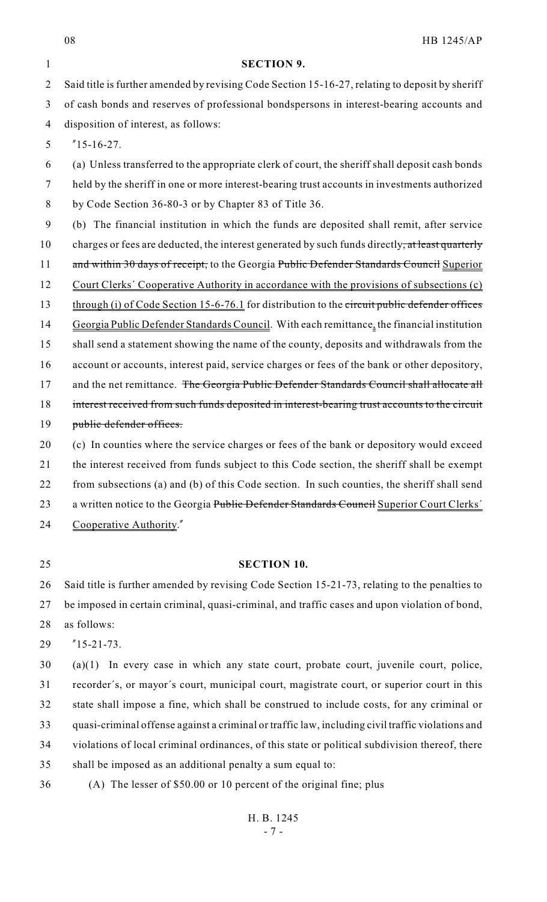|                          | 08<br>HB 1245/AP                                                                                |
|--------------------------|-------------------------------------------------------------------------------------------------|
| $\mathbf{1}$             | <b>SECTION 9.</b>                                                                               |
| $\overline{2}$           | Said title is further amended by revising Code Section 15-16-27, relating to deposit by sheriff |
| $\mathfrak{Z}$           | of cash bonds and reserves of professional bondspersons in interest-bearing accounts and        |
| $\overline{\mathcal{A}}$ | disposition of interest, as follows:                                                            |
| 5                        | $"15-16-27.$                                                                                    |
| 6                        | (a) Unless transferred to the appropriate clerk of court, the sheriff shall deposit cash bonds  |
| $\tau$                   | held by the sheriff in one or more interest-bearing trust accounts in investments authorized    |
| $8\,$                    | by Code Section 36-80-3 or by Chapter 83 of Title 36.                                           |
| 9                        | (b) The financial institution in which the funds are deposited shall remit, after service       |
| 10                       | charges or fees are deducted, the interest generated by such funds directly, at least quarterly |
| 11                       | and within 30 days of receipt, to the Georgia Public Defender Standards Council Superior        |
| 12                       | Court Clerks' Cooperative Authority in accordance with the provisions of subsections (c)        |
| 13                       | $through (i) of Code Section 15-6-76.1$ for distribution to the circuit public defender offices |
| 14                       | Georgia Public Defender Standards Council. With each remittance, the financial institution      |
| 15                       | shall send a statement showing the name of the county, deposits and withdrawals from the        |
| 16                       | account or accounts, interest paid, service charges or fees of the bank or other depository,    |
| 17                       | and the net remittance. The Georgia Public Defender Standards Council shall allocate all        |
| 18                       | interest received from such funds deposited in interest-bearing trust accounts to the circuit   |
| 19                       | public defender offices.                                                                        |
| 20                       | (c) In counties where the service charges or fees of the bank or depository would exceed        |
| 21                       | the interest received from funds subject to this Code section, the sheriff shall be exempt      |
| 22                       | from subsections (a) and (b) of this Code section. In such counties, the sheriff shall send     |
| 23                       | a written notice to the Georgia Public Defender Standards Council Superior Court Clerks'        |
| 24                       | Cooperative Authority."                                                                         |
|                          |                                                                                                 |
| 25                       | <b>SECTION 10.</b>                                                                              |
| 26                       | Said title is further amended by revising Code Section 15-21-73, relating to the penalties to   |
| 27                       | be imposed in certain criminal, quasi-criminal, and traffic cases and upon violation of bond,   |
| 28                       | as follows:                                                                                     |
| 29                       | $"15-21-73.$                                                                                    |
| 30                       | $(a)(1)$ In every case in which any state court, probate court, juvenile court, police,         |
| 31                       | recorder's, or mayor's court, municipal court, magistrate court, or superior court in this      |
| 32                       | state shall impose a fine, which shall be construed to include costs, for any criminal or       |

- quasi-criminal offense against a criminal or traffic law, including civil traffic violations and violations of local criminal ordinances, of this state or political subdivision thereof, there
- shall be imposed as an additional penalty a sum equal to:
- (A) The lesser of \$50.00 or 10 percent of the original fine; plus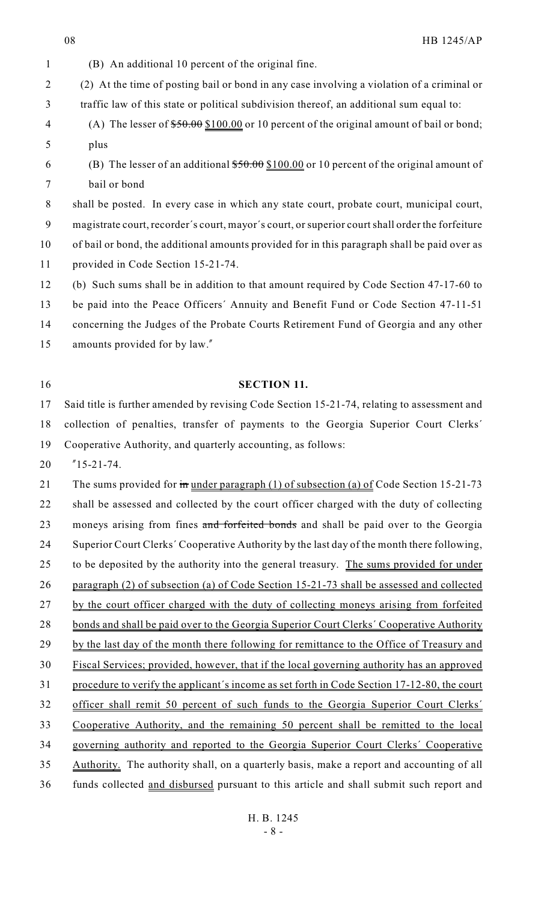(B) An additional 10 percent of the original fine.

 (2) At the time of posting bail or bond in any case involving a violation of a criminal or traffic law of this state or political subdivision thereof, an additional sum equal to:

4 (A) The lesser of  $$50.00 \text{ }\frac{$100.00}{10}$  or 10 percent of the original amount of bail or bond; plus

6 (B) The lesser of an additional  $$50.00 \text{ }\Omega$  or 10 percent of the original amount of bail or bond

 shall be posted. In every case in which any state court, probate court, municipal court, magistrate court, recorder´s court, mayor´s court, or superior courtshall order the forfeiture of bail or bond, the additional amounts provided for in this paragraph shall be paid over as provided in Code Section 15-21-74.

(b) Such sums shall be in addition to that amount required by Code Section 47-17-60 to

be paid into the Peace Officers´ Annuity and Benefit Fund or Code Section 47-11-51

 concerning the Judges of the Probate Courts Retirement Fund of Georgia and any other amounts provided for by law."

#### **SECTION 11.**

 Said title is further amended by revising Code Section 15-21-74, relating to assessment and collection of penalties, transfer of payments to the Georgia Superior Court Clerks´ Cooperative Authority, and quarterly accounting, as follows:

"15-21-74.

21 The sums provided for in under paragraph (1) of subsection (a) of Code Section 15-21-73 shall be assessed and collected by the court officer charged with the duty of collecting 23 moneys arising from fines and forfeited bonds and shall be paid over to the Georgia Superior Court Clerks´ Cooperative Authority by the last day of the month there following, 25 to be deposited by the authority into the general treasury. The sums provided for under 26 paragraph (2) of subsection (a) of Code Section 15-21-73 shall be assessed and collected 27 by the court officer charged with the duty of collecting moneys arising from forfeited 28 bonds and shall be paid over to the Georgia Superior Court Clerks' Cooperative Authority 29 by the last day of the month there following for remittance to the Office of Treasury and Fiscal Services; provided, however, that if the local governing authority has an approved 31 procedure to verify the applicant's income as set forth in Code Section 17-12-80, the court officer shall remit 50 percent of such funds to the Georgia Superior Court Clerks´ Cooperative Authority, and the remaining 50 percent shall be remitted to the local governing authority and reported to the Georgia Superior Court Clerks´ Cooperative 35 Authority. The authority shall, on a quarterly basis, make a report and accounting of all funds collected and disbursed pursuant to this article and shall submit such report and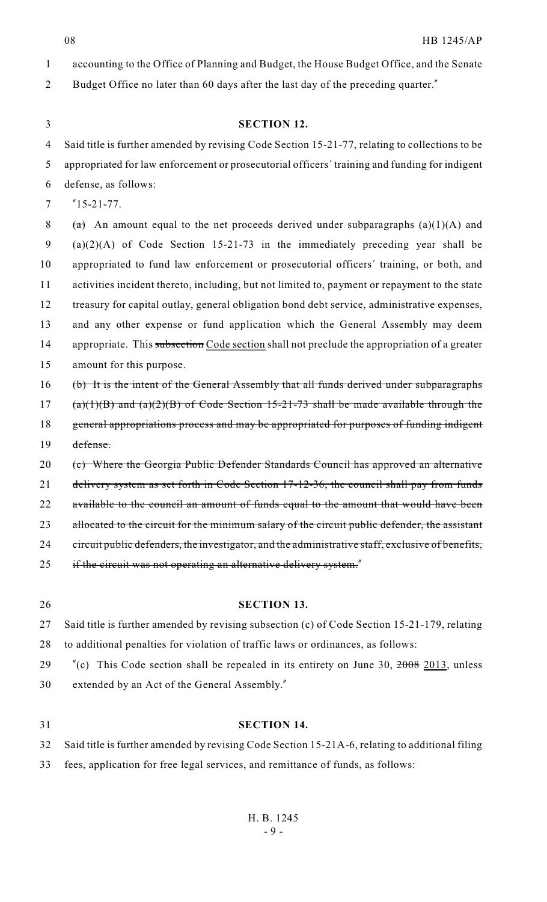1 accounting to the Office of Planning and Budget, the House Budget Office, and the Senate

2 Budget Office no later than 60 days after the last day of the preceding quarter.

3 **SECTION 12.**

# 4 Said title is further amended by revising Code Section 15-21-77, relating to collections to be 5 appropriated for law enforcement or prosecutorial officers´ training and funding for indigent 6 defense, as follows:

7 "15-21-77.

8 (a) An amount equal to the net proceeds derived under subparagraphs (a)(1)(A) and (a)(2)(A) of Code Section 15-21-73 in the immediately preceding year shall be appropriated to fund law enforcement or prosecutorial officers´ training, or both, and activities incident thereto, including, but not limited to, payment or repayment to the state treasury for capital outlay, general obligation bond debt service, administrative expenses, and any other expense or fund application which the General Assembly may deem 14 appropriate. This subsection Code section shall not preclude the appropriation of a greater amount for this purpose.

16 (b) It is the intent of the General Assembly that all funds derived under subparagraphs

17 (a)(1)(B) and (a)(2)(B) of Code Section 15-21-73 shall be made available through the 18 general appropriations process and may be appropriated for purposes of funding indigent 19 defense.

20 (c) Where the Georgia Public Defender Standards Council has approved an alternative

21 delivery system as set forth in Code Section 17-12-36, the council shall pay from funds

22 available to the council an amount of funds equal to the amount that would have been

23 allocated to the circuit for the minimum salary of the circuit public defender, the assistant

24 circuit public defenders, the investigator, and the administrative staff, exclusive of benefits,

25 if the circuit was not operating an alternative delivery system."

31 **SECTION 14.**

### 26 **SECTION 13.**

# 27 Said title is further amended by revising subsection (c) of Code Section 15-21-179, relating 28 to additional penalties for violation of traffic laws or ordinances, as follows:

29  $\%$  (c) This Code section shall be repealed in its entirety on June 30,  $2008$  2013, unless 30 extended by an Act of the General Assembly."

32 Said title is further amended by revising Code Section 15-21A-6, relating to additional filing

33 fees, application for free legal services, and remittance of funds, as follows: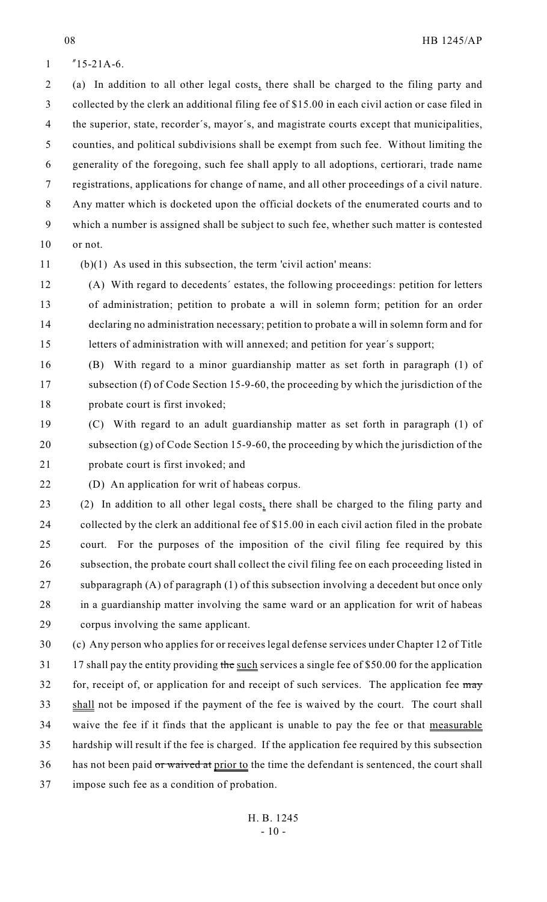$"15-21A-6.$ 

 (a) In addition to all other legal costs, there shall be charged to the filing party and collected by the clerk an additional filing fee of \$15.00 in each civil action or case filed in 4 the superior, state, recorder's, mayor's, and magistrate courts except that municipalities, counties, and political subdivisions shall be exempt from such fee. Without limiting the generality of the foregoing, such fee shall apply to all adoptions, certiorari, trade name registrations, applications for change of name, and all other proceedings of a civil nature. Any matter which is docketed upon the official dockets of the enumerated courts and to which a number is assigned shall be subject to such fee, whether such matter is contested or not.

(b)(1) As used in this subsection, the term 'civil action' means:

 (A) With regard to decedents´ estates, the following proceedings: petition for letters of administration; petition to probate a will in solemn form; petition for an order declaring no administration necessary; petition to probate a will in solemn form and for letters of administration with will annexed; and petition for year´s support;

 (B) With regard to a minor guardianship matter as set forth in paragraph (1) of 17 subsection (f) of Code Section 15-9-60, the proceeding by which the jurisdiction of the probate court is first invoked;

 (C) With regard to an adult guardianship matter as set forth in paragraph (1) of subsection (g) of Code Section 15-9-60, the proceeding by which the jurisdiction of the probate court is first invoked; and

(D) An application for writ of habeas corpus.

 (2) In addition to all other legal costs, there shall be charged to the filing party and collected by the clerk an additional fee of \$15.00 in each civil action filed in the probate court. For the purposes of the imposition of the civil filing fee required by this 26 subsection, the probate court shall collect the civil filing fee on each proceeding listed in subparagraph (A) of paragraph (1) of this subsection involving a decedent but once only in a guardianship matter involving the same ward or an application for writ of habeas corpus involving the same applicant.

 (c) Any person who applies for or receives legal defense services under Chapter 12 of Title 31 17 shall pay the entity providing the such services a single fee of \$50.00 for the application for, receipt of, or application for and receipt of such services. The application fee  $\frac{m}{xy}$ 33 shall not be imposed if the payment of the fee is waived by the court. The court shall waive the fee if it finds that the applicant is unable to pay the fee or that measurable hardship will result if the fee is charged. If the application fee required by this subsection 36 has not been paid or waived at prior to the time the defendant is sentenced, the court shall impose such fee as a condition of probation.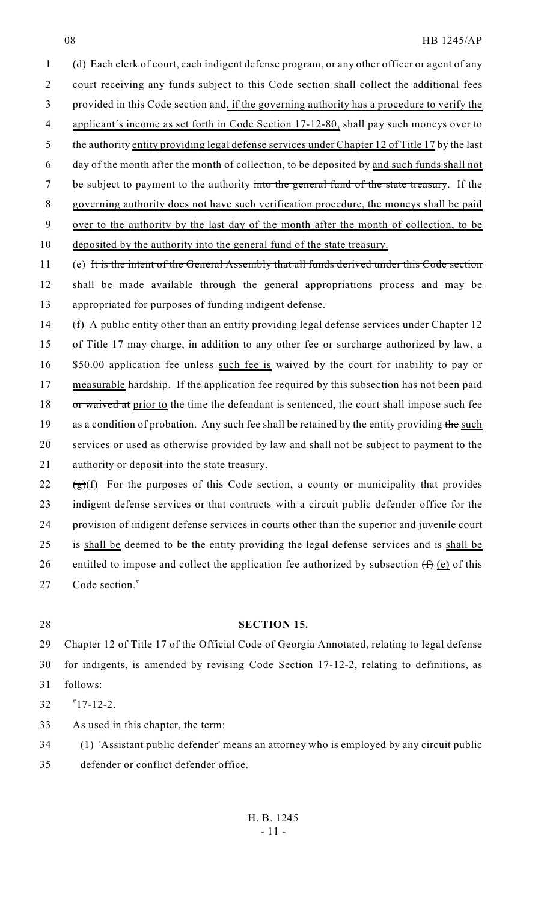1 (d) Each clerk of court, each indigent defense program, or any other officer or agent of any 2 court receiving any funds subject to this Code section shall collect the additional fees 3 provided in this Code section and, if the governing authority has a procedure to verify the 4 applicant's income as set forth in Code Section 17-12-80, shall pay such moneys over to 5 the authority entity providing legal defense services under Chapter 12 of Title 17 by the last 6 day of the month after the month of collection, to be deposited by and such funds shall not 7 be subject to payment to the authority into the general fund of the state treasury. If the 8 governing authority does not have such verification procedure, the moneys shall be paid 9 over to the authority by the last day of the month after the month of collection, to be 10 deposited by the authority into the general fund of the state treasury. 11 (e) It is the intent of the General Assembly that all funds derived under this Code section

12 shall be made available through the general appropriations process and may be 13 appropriated for purposes of funding indigent defense.

14 (f) A public entity other than an entity providing legal defense services under Chapter 12 15 of Title 17 may charge, in addition to any other fee or surcharge authorized by law, a 16 \$50.00 application fee unless such fee is waived by the court for inability to pay or 17 measurable hardship. If the application fee required by this subsection has not been paid 18 or waived at prior to the time the defendant is sentenced, the court shall impose such fee 19 as a condition of probation. Any such fee shall be retained by the entity providing the such 20 services or used as otherwise provided by law and shall not be subject to payment to the 21 authority or deposit into the state treasury.

 $22 \frac{g(t)}{g(t)}$  For the purposes of this Code section, a county or municipality that provides 23 indigent defense services or that contracts with a circuit public defender office for the 24 provision of indigent defense services in courts other than the superior and juvenile court 25 is shall be deemed to be the entity providing the legal defense services and is shall be 26 entitled to impose and collect the application fee authorized by subsection  $(f)$  (e) of this 27 Code section."

#### 28 **SECTION 15.**

29 Chapter 12 of Title 17 of the Official Code of Georgia Annotated, relating to legal defense 30 for indigents, is amended by revising Code Section 17-12-2, relating to definitions, as 31 follows:

32 "17-12-2.

33 As used in this chapter, the term:

34 (1) 'Assistant public defender' means an attorney who is employed by any circuit public

35 defender or conflict defender office.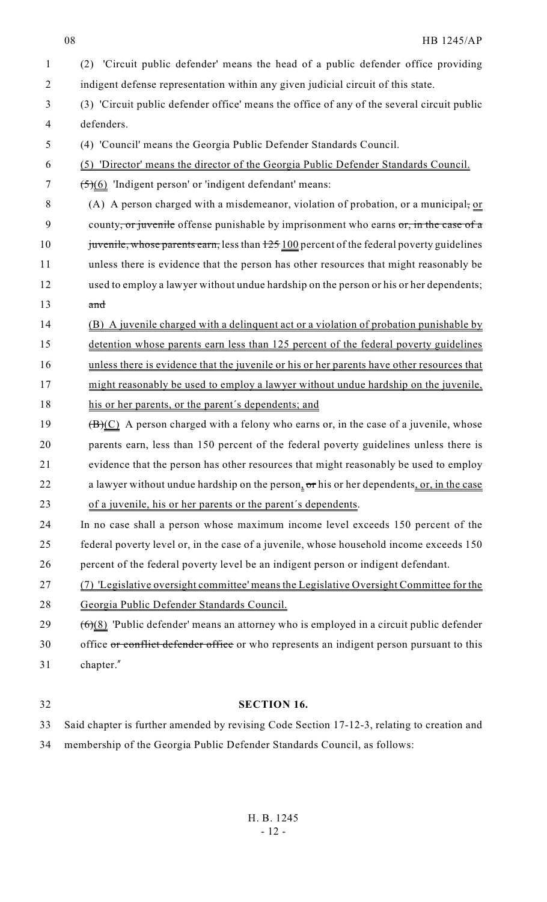| $\mathbf{1}$   | 'Circuit public defender' means the head of a public defender office providing<br>(2)                       |
|----------------|-------------------------------------------------------------------------------------------------------------|
| $\overline{2}$ | indigent defense representation within any given judicial circuit of this state.                            |
| 3              | (3) 'Circuit public defender office' means the office of any of the several circuit public                  |
| $\overline{4}$ | defenders.                                                                                                  |
| 5              | (4) 'Council' means the Georgia Public Defender Standards Council.                                          |
| 6              | (5) 'Director' means the director of the Georgia Public Defender Standards Council.                         |
| 7              | $\frac{5(6)}{2}$ 'Indigent person' or 'indigent defendant' means:                                           |
| $8\,$          | (A) A person charged with a misdemeanor, violation of probation, or a municipal, or                         |
| 9              | county, or juvenile offense punishable by imprisonment who earns or, in the case of a                       |
| 10             | juvenile, whose parents earn, less than $\frac{125}{100}$ percent of the federal poverty guidelines         |
| 11             | unless there is evidence that the person has other resources that might reasonably be                       |
| 12             | used to employ a lawyer without undue hardship on the person or his or her dependents;                      |
| 13             | and                                                                                                         |
| 14             | (B) A juvenile charged with a delinquent act or a violation of probation punishable by                      |
| 15             | detention whose parents earn less than 125 percent of the federal poverty guidelines                        |
| 16             | unless there is evidence that the juvenile or his or her parents have other resources that                  |
| 17             | might reasonably be used to employ a lawyer without undue hardship on the juvenile,                         |
| 18             | his or her parents, or the parent's dependents; and                                                         |
| 19             | $(\overline{B})(C)$ A person charged with a felony who earns or, in the case of a juvenile, whose           |
| 20             | parents earn, less than 150 percent of the federal poverty guidelines unless there is                       |
| 21             | evidence that the person has other resources that might reasonably be used to employ                        |
| 22             | a lawyer without undue hardship on the person, or his or her dependents, or, in the case                    |
| 23             | of a juvenile, his or her parents or the parent's dependents.                                               |
| 24             | In no case shall a person whose maximum income level exceeds 150 percent of the                             |
| 25             | federal poverty level or, in the case of a juvenile, whose household income exceeds 150                     |
| 26             | percent of the federal poverty level be an indigent person or indigent defendant.                           |
| $27\,$         | (7) 'Legislative oversight committee' means the Legislative Oversight Committee for the                     |
| 28             | Georgia Public Defender Standards Council.                                                                  |
| 29             | $\left(\frac{6}{8}\right)$ 'Public defender' means an attorney who is employed in a circuit public defender |
| 30             | office or conflict defender office or who represents an indigent person pursuant to this                    |
| 31             | chapter."                                                                                                   |

#### 32 **SECTION 16.**

- 33 Said chapter is further amended by revising Code Section 17-12-3, relating to creation and
- 34 membership of the Georgia Public Defender Standards Council, as follows: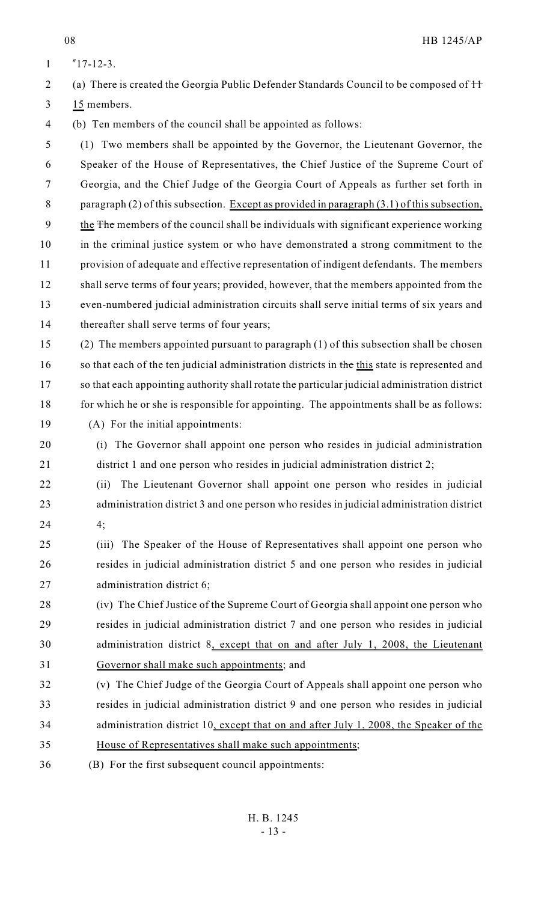$"17-12-3.$ 

2 (a) There is created the Georgia Public Defender Standards Council to be composed of  $H$ 15 members.

(b) Ten members of the council shall be appointed as follows:

 (1) Two members shall be appointed by the Governor, the Lieutenant Governor, the Speaker of the House of Representatives, the Chief Justice of the Supreme Court of Georgia, and the Chief Judge of the Georgia Court of Appeals as further set forth in paragraph (2) of this subsection. Except as provided in paragraph (3.1) of this subsection, 9 the The members of the council shall be individuals with significant experience working in the criminal justice system or who have demonstrated a strong commitment to the provision of adequate and effective representation of indigent defendants. The members 12 shall serve terms of four years; provided, however, that the members appointed from the even-numbered judicial administration circuits shall serve initial terms of six years and 14 thereafter shall serve terms of four years;

 (2) The members appointed pursuant to paragraph (1) of this subsection shall be chosen 16 so that each of the ten judicial administration districts in the this state is represented and so that each appointing authority shall rotate the particular judicial administration district 18 for which he or she is responsible for appointing. The appointments shall be as follows: (A) For the initial appointments:

- 
- (i) The Governor shall appoint one person who resides in judicial administration district 1 and one person who resides in judicial administration district 2;
- (ii) The Lieutenant Governor shall appoint one person who resides in judicial administration district 3 and one person who resides in judicial administration district 4;
- (iii) The Speaker of the House of Representatives shall appoint one person who resides in judicial administration district 5 and one person who resides in judicial administration district 6;
- (iv) The Chief Justice of the Supreme Court of Georgia shall appoint one person who resides in judicial administration district 7 and one person who resides in judicial administration district 8, except that on and after July 1, 2008, the Lieutenant Governor shall make such appointments; and
- (v) The Chief Judge of the Georgia Court of Appeals shall appoint one person who resides in judicial administration district 9 and one person who resides in judicial 34 administration district 10, except that on and after July 1, 2008, the Speaker of the House of Representatives shall make such appointments;
- (B) For the first subsequent council appointments: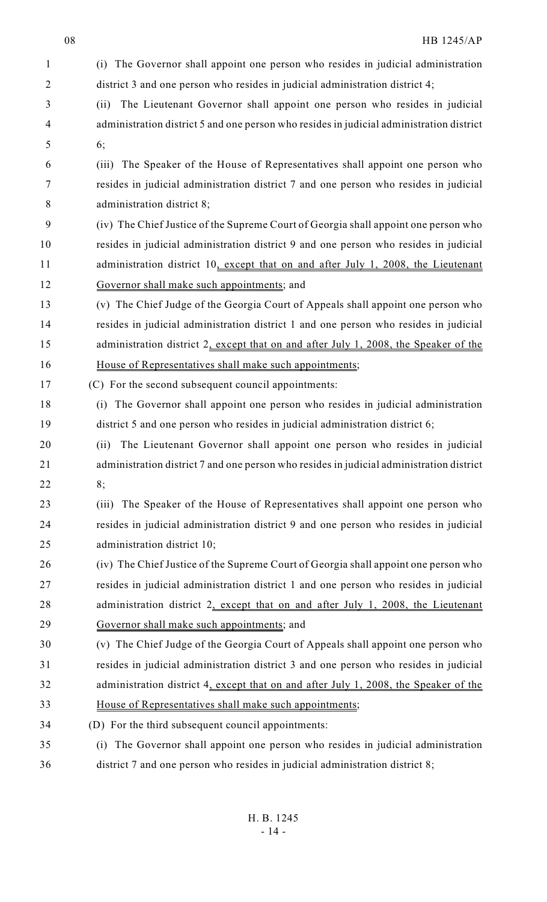| $\mathbf{1}$   | The Governor shall appoint one person who resides in judicial administration<br>(i)      |
|----------------|------------------------------------------------------------------------------------------|
| $\overline{2}$ | district 3 and one person who resides in judicial administration district 4;             |
| 3              | The Lieutenant Governor shall appoint one person who resides in judicial<br>(ii)         |
| $\overline{4}$ | administration district 5 and one person who resides in judicial administration district |
| 5              | 6;                                                                                       |
| 6              | The Speaker of the House of Representatives shall appoint one person who<br>(iii)        |
| 7              | resides in judicial administration district 7 and one person who resides in judicial     |
| 8              | administration district 8;                                                               |
| 9              | (iv) The Chief Justice of the Supreme Court of Georgia shall appoint one person who      |
| 10             | resides in judicial administration district 9 and one person who resides in judicial     |
| 11             | administration district 10, except that on and after July 1, 2008, the Lieutenant        |
| 12             | Governor shall make such appointments; and                                               |
| 13             | (v) The Chief Judge of the Georgia Court of Appeals shall appoint one person who         |
| 14             | resides in judicial administration district 1 and one person who resides in judicial     |
| 15             | administration district 2, except that on and after July 1, 2008, the Speaker of the     |
| 16             | House of Representatives shall make such appointments;                                   |
| 17             | (C) For the second subsequent council appointments:                                      |
| 18             | The Governor shall appoint one person who resides in judicial administration<br>(i)      |
| 19             | district 5 and one person who resides in judicial administration district 6;             |
| 20             | The Lieutenant Governor shall appoint one person who resides in judicial<br>(ii)         |
| 21             | administration district 7 and one person who resides in judicial administration district |
| 22             | 8;                                                                                       |
| 23             | (iii) The Speaker of the House of Representatives shall appoint one person who           |
| 24             | resides in judicial administration district 9 and one person who resides in judicial     |
| 25             | administration district 10;                                                              |
| 26             | (iv) The Chief Justice of the Supreme Court of Georgia shall appoint one person who      |
| 27             | resides in judicial administration district 1 and one person who resides in judicial     |
| 28             | administration district 2, except that on and after July 1, 2008, the Lieutenant         |
| 29             | Governor shall make such appointments; and                                               |
| 30             | (v) The Chief Judge of the Georgia Court of Appeals shall appoint one person who         |
| 31             | resides in judicial administration district 3 and one person who resides in judicial     |
| 32             | administration district 4, except that on and after July 1, 2008, the Speaker of the     |
| 33             | House of Representatives shall make such appointments;                                   |
| 34             | (D) For the third subsequent council appointments:                                       |
| 35             | The Governor shall appoint one person who resides in judicial administration<br>(i)      |
| 36             | district 7 and one person who resides in judicial administration district 8;             |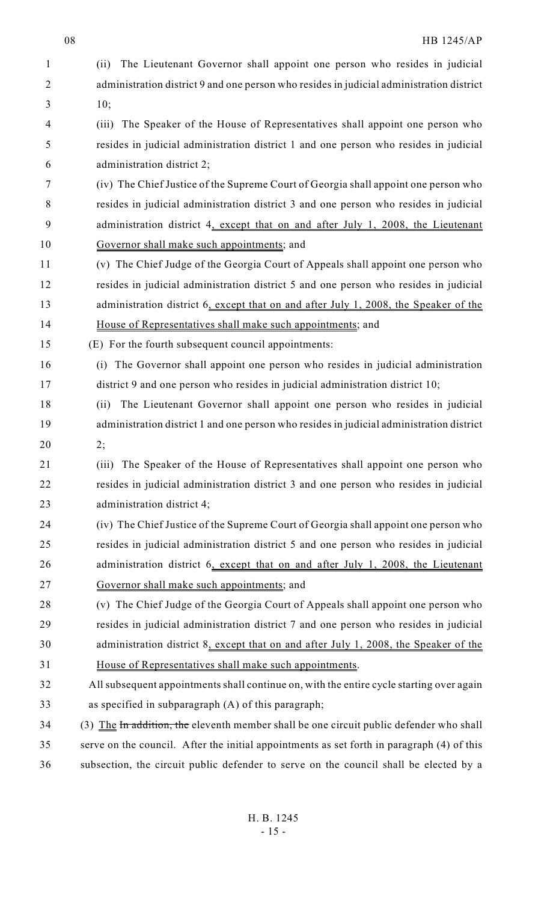| $\mathbf{1}$   | The Lieutenant Governor shall appoint one person who resides in judicial<br>(ii)           |
|----------------|--------------------------------------------------------------------------------------------|
| $\overline{2}$ | administration district 9 and one person who resides in judicial administration district   |
| 3              | 10;                                                                                        |
| 4              | (iii) The Speaker of the House of Representatives shall appoint one person who             |
| 5              | resides in judicial administration district 1 and one person who resides in judicial       |
| 6              | administration district 2;                                                                 |
| 7              | (iv) The Chief Justice of the Supreme Court of Georgia shall appoint one person who        |
| 8              | resides in judicial administration district 3 and one person who resides in judicial       |
| 9              | administration district 4, except that on and after July 1, 2008, the Lieutenant           |
| 10             | Governor shall make such appointments; and                                                 |
| 11             | (v) The Chief Judge of the Georgia Court of Appeals shall appoint one person who           |
| 12             | resides in judicial administration district 5 and one person who resides in judicial       |
| 13             | administration district 6, except that on and after July 1, 2008, the Speaker of the       |
| 14             | House of Representatives shall make such appointments; and                                 |
| 15             | (E) For the fourth subsequent council appointments:                                        |
| 16             | The Governor shall appoint one person who resides in judicial administration<br>(i)        |
| 17             | district 9 and one person who resides in judicial administration district 10;              |
| 18             | The Lieutenant Governor shall appoint one person who resides in judicial<br>(ii)           |
| 19             | administration district 1 and one person who resides in judicial administration district   |
| 20             | 2;                                                                                         |
| 21             | (iii) The Speaker of the House of Representatives shall appoint one person who             |
| 22             | resides in judicial administration district 3 and one person who resides in judicial       |
| 23             | administration district 4;                                                                 |
| 24             | (iv) The Chief Justice of the Supreme Court of Georgia shall appoint one person who        |
| 25             | resides in judicial administration district 5 and one person who resides in judicial       |
| 26             | administration district 6, except that on and after July 1, 2008, the Lieutenant           |
| 27             | Governor shall make such appointments; and                                                 |
| 28             | (v) The Chief Judge of the Georgia Court of Appeals shall appoint one person who           |
| 29             | resides in judicial administration district 7 and one person who resides in judicial       |
| 30             | administration district 8, except that on and after July 1, 2008, the Speaker of the       |
| 31             | House of Representatives shall make such appointments.                                     |
| 32             | All subsequent appointments shall continue on, with the entire cycle starting over again   |
| 33             | as specified in subparagraph $(A)$ of this paragraph;                                      |
| 34             | (3) The In addition, the eleventh member shall be one circuit public defender who shall    |
| 35             | serve on the council. After the initial appointments as set forth in paragraph (4) of this |
| 36             | subsection, the circuit public defender to serve on the council shall be elected by a      |
|                |                                                                                            |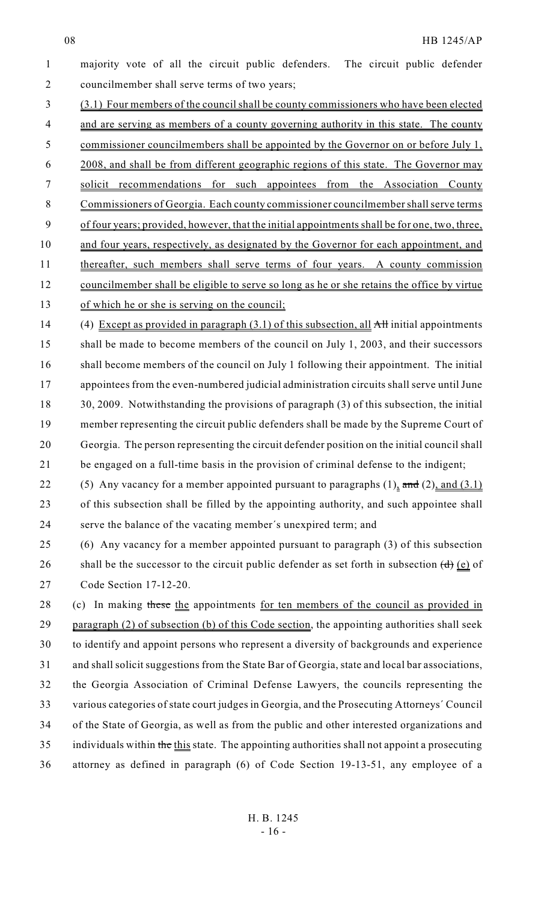majority vote of all the circuit public defenders. The circuit public defender councilmember shall serve terms of two years; (3.1) Four members of the council shall be county commissioners who have been elected 4 and are serving as members of a county governing authority in this state. The county 5 commissioner councilmembers shall be appointed by the Governor on or before July 1, 2008, and shall be from different geographic regions of this state. The Governor may solicit recommendations for such appointees from the Association County 8 Commissioners of Georgia. Each county commissioner councilmember shall serve terms of four years; provided, however, that the initial appointments shall be for one, two, three, 10 and four years, respectively, as designated by the Governor for each appointment, and 11 thereafter, such members shall serve terms of four years. A county commission 12 councilmember shall be eligible to serve so long as he or she retains the office by virtue 13 of which he or she is serving on the council; 14 (4) Except as provided in paragraph  $(3.1)$  of this subsection, all All initial appointments 15 shall be made to become members of the council on July 1, 2003, and their successors shall become members of the council on July 1 following their appointment. The initial 17 appointees from the even-numbered judicial administration circuits shall serve until June 18 30, 2009. Notwithstanding the provisions of paragraph (3) of this subsection, the initial member representing the circuit public defenders shall be made by the Supreme Court of Georgia. The person representing the circuit defender position on the initial council shall be engaged on a full-time basis in the provision of criminal defense to the indigent; 22 (5) Any vacancy for a member appointed pursuant to paragraphs  $(1)$ <sub>2</sub> and  $(2)$ <sub>2</sub> and  $(3.1)$  of this subsection shall be filled by the appointing authority, and such appointee shall serve the balance of the vacating member´s unexpired term; and (6) Any vacancy for a member appointed pursuant to paragraph (3) of this subsection 26 shall be the successor to the circuit public defender as set forth in subsection  $\left(\frac{d}{dx}\right)$  (e) of Code Section 17-12-20. (c) In making these the appointments for ten members of the council as provided in paragraph (2) of subsection (b) of this Code section, the appointing authorities shall seek to identify and appoint persons who represent a diversity of backgrounds and experience and shall solicit suggestions from the State Bar of Georgia, state and local bar associations, the Georgia Association of Criminal Defense Lawyers, the councils representing the various categories of state court judges in Georgia, and the Prosecuting Attorneys´ Council of the State of Georgia, as well as from the public and other interested organizations and 35 individuals within the this state. The appointing authorities shall not appoint a prosecuting attorney as defined in paragraph (6) of Code Section 19-13-51, any employee of a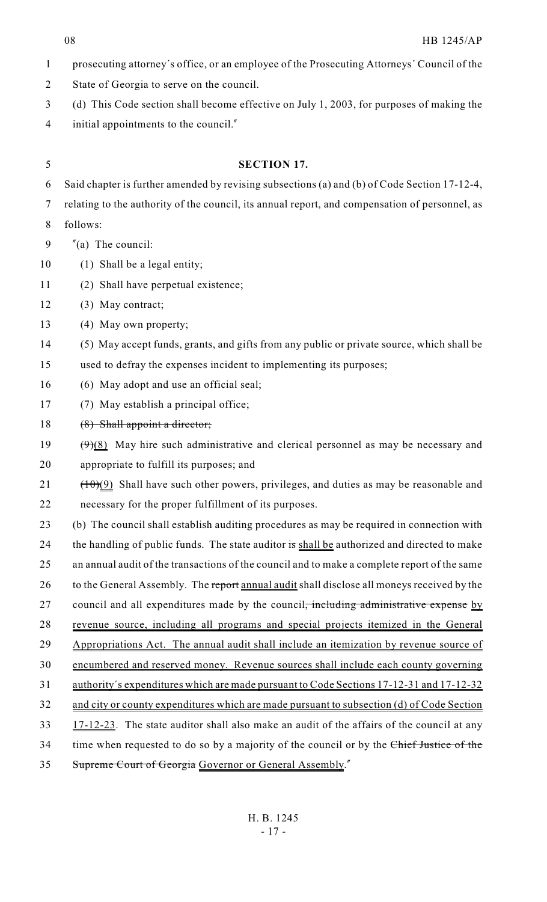- prosecuting attorney´s office, or an employee of the Prosecuting Attorneys´ Council of the
- 2 State of Georgia to serve on the council.
- (d) This Code section shall become effective on July 1, 2003, for purposes of making the
- initial appointments to the council."

 **SECTION 17.** Said chapter is further amended by revising subsections (a) and (b) of Code Section 17-12-4, relating to the authority of the council, its annual report, and compensation of personnel, as follows: "(a) The council: (1) Shall be a legal entity; (2) Shall have perpetual existence; (3) May contract; (4) May own property; (5) May accept funds, grants, and gifts from any public or private source, which shall be used to defray the expenses incident to implementing its purposes; (6) May adopt and use an official seal; (7) May establish a principal office; 18 (8) Shall appoint a director;  $(\frac{\Theta}{8})$  May hire such administrative and clerical personnel as may be necessary and appropriate to fulfill its purposes; and (10)(9) Shall have such other powers, privileges, and duties as may be reasonable and necessary for the proper fulfillment of its purposes. (b) The council shall establish auditing procedures as may be required in connection with 24 the handling of public funds. The state auditor is shall be authorized and directed to make an annual audit of the transactions of the council and to make a complete report of the same 26 to the General Assembly. The report annual audit shall disclose all moneys received by the 27 council and all expenditures made by the council<del>, including administrative expense</del> by 28 revenue source, including all programs and special projects itemized in the General 29 Appropriations Act. The annual audit shall include an itemization by revenue source of encumbered and reserved money. Revenue sources shall include each county governing authority´s expenditures which are made pursuant to Code Sections 17-12-31 and 17-12-32 32 and city or county expenditures which are made pursuant to subsection (d) of Code Section 33 17-12-23. The state auditor shall also make an audit of the affairs of the council at any 34 time when requested to do so by a majority of the council or by the Chief Justice of the Supreme Court of Georgia Governor or General Assembly."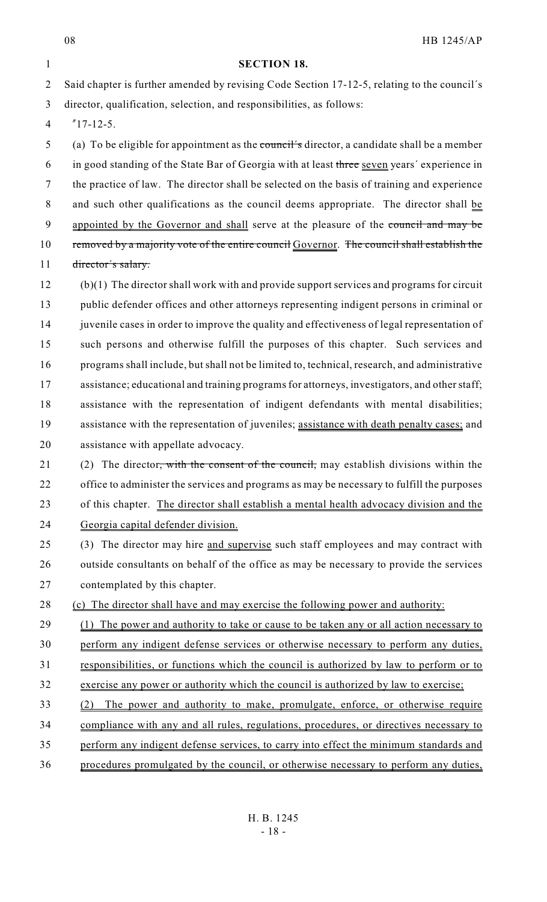|                | 08<br>HB 1245/AP                                                                             |
|----------------|----------------------------------------------------------------------------------------------|
| $\mathbf{1}$   | <b>SECTION 18.</b>                                                                           |
| 2              | Said chapter is further amended by revising Code Section 17-12-5, relating to the council's  |
| 3              | director, qualification, selection, and responsibilities, as follows:                        |
| $\overline{4}$ | $"17-12-5.$                                                                                  |
| 5              | (a) To be eligible for appointment as the council's director, a candidate shall be a member  |
| 6              | in good standing of the State Bar of Georgia with at least three seven years' experience in  |
| $\tau$         | the practice of law. The director shall be selected on the basis of training and experience  |
| $8\,$          | and such other qualifications as the council deems appropriate. The director shall be        |
| 9              | appointed by the Governor and shall serve at the pleasure of the council and may be          |
| 10             | removed by a majority vote of the entire council Governor. The council shall establish the   |
| 11             | director's salary.                                                                           |
| 12             | (b)(1) The director shall work with and provide support services and programs for circuit    |
| 13             | public defender offices and other attorneys representing indigent persons in criminal or     |
| 14             | juvenile cases in order to improve the quality and effectiveness of legal representation of  |
| 15             | such persons and otherwise fulfill the purposes of this chapter. Such services and           |
| 16             | programs shall include, but shall not be limited to, technical, research, and administrative |
| 17             | assistance; educational and training programs for attorneys, investigators, and other staff; |
| 18             | assistance with the representation of indigent defendants with mental disabilities;          |
| 19             | assistance with the representation of juveniles; assistance with death penalty cases; and    |
| 20             | assistance with appellate advocacy.                                                          |
| 21             | The director, with the consent of the council, may establish divisions within the<br>(2)     |
| 22             | office to administer the services and programs as may be necessary to fulfill the purposes   |
| 23             | of this chapter. The director shall establish a mental health advocacy division and the      |
| 24             | Georgia capital defender division.                                                           |
| 25             | (3) The director may hire and supervise such staff employees and may contract with           |
| 26             | outside consultants on behalf of the office as may be necessary to provide the services      |
| 27             | contemplated by this chapter.                                                                |
| 28             | (c) The director shall have and may exercise the following power and authority:              |
| 29             | (1) The power and authority to take or cause to be taken any or all action necessary to      |
| 30             | perform any indigent defense services or otherwise necessary to perform any duties,          |
| 31             | responsibilities, or functions which the council is authorized by law to perform or to       |
| 32             | exercise any power or authority which the council is authorized by law to exercise;          |
| 33             | The power and authority to make, promulgate, enforce, or otherwise require<br>(2)            |
| 34             | compliance with any and all rules, regulations, procedures, or directives necessary to       |
| 35             | perform any indigent defense services, to carry into effect the minimum standards and        |
| 36             | procedures promulgated by the council, or otherwise necessary to perform any duties,         |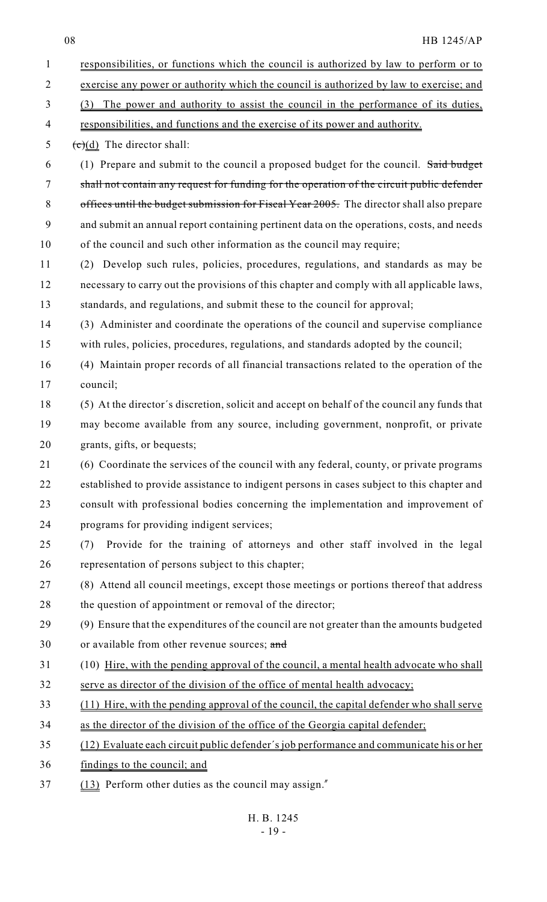- responsibilities, or functions which the council is authorized by law to perform or to 2 exercise any power or authority which the council is authorized by law to exercise; and (3) The power and authority to assist the council in the performance of its duties, responsibilities, and functions and the exercise of its power and authority.  $5 \quad (e)(d)$  The director shall: (1) Prepare and submit to the council a proposed budget for the council. Said budget shall not contain any request for funding for the operation of the circuit public defender 8 offices until the budget submission for Fiscal Year 2005. The director shall also prepare and submit an annual report containing pertinent data on the operations, costs, and needs 10 of the council and such other information as the council may require; (2) Develop such rules, policies, procedures, regulations, and standards as may be necessary to carry out the provisions of this chapter and comply with all applicable laws, standards, and regulations, and submit these to the council for approval; (3) Administer and coordinate the operations of the council and supervise compliance with rules, policies, procedures, regulations, and standards adopted by the council; (4) Maintain proper records of all financial transactions related to the operation of the council; (5) At the director´s discretion, solicit and accept on behalf of the council any funds that may become available from any source, including government, nonprofit, or private grants, gifts, or bequests; (6) Coordinate the services of the council with any federal, county, or private programs established to provide assistance to indigent persons in cases subject to this chapter and consult with professional bodies concerning the implementation and improvement of programs for providing indigent services; (7) Provide for the training of attorneys and other staff involved in the legal representation of persons subject to this chapter; (8) Attend all council meetings, except those meetings or portions thereof that address 28 the question of appointment or removal of the director; (9) Ensure that the expenditures of the council are not greater than the amounts budgeted 30 or available from other revenue sources; and (10) Hire, with the pending approval of the council, a mental health advocate who shall serve as director of the division of the office of mental health advocacy; (11) Hire, with the pending approval of the council, the capital defender who shall serve as the director of the division of the office of the Georgia capital defender; (12) Evaluate each circuit public defender´s job performance and communicate his or her findings to the council; and
- (13) Perform other duties as the council may assign."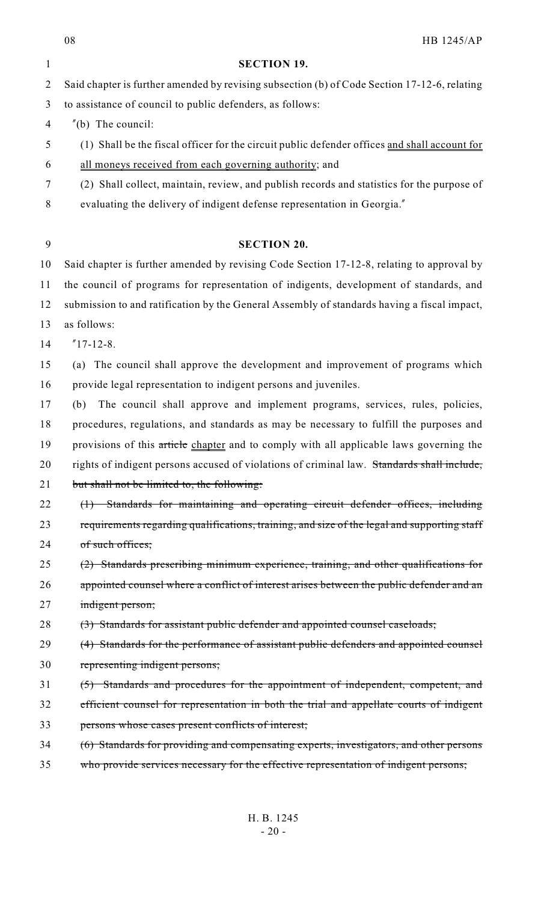|                | <b>HB 1245/AP</b><br>08                                                                       |
|----------------|-----------------------------------------------------------------------------------------------|
| $\mathbf{1}$   | <b>SECTION 19.</b>                                                                            |
| $\overline{2}$ | Said chapter is further amended by revising subsection (b) of Code Section 17-12-6, relating  |
| 3              | to assistance of council to public defenders, as follows:                                     |
| $\overline{4}$ | $''$ (b) The council:                                                                         |
| 5              | (1) Shall be the fiscal officer for the circuit public defender offices and shall account for |
| 6              | all moneys received from each governing authority; and                                        |
| 7              | (2) Shall collect, maintain, review, and publish records and statistics for the purpose of    |
| 8              | evaluating the delivery of indigent defense representation in Georgia."                       |
| 9              | <b>SECTION 20.</b>                                                                            |
| 10             | Said chapter is further amended by revising Code Section 17-12-8, relating to approval by     |
| 11             | the council of programs for representation of indigents, development of standards, and        |
| 12             | submission to and ratification by the General Assembly of standards having a fiscal impact,   |
| 13             | as follows:                                                                                   |
| 14             | $"17-12-8.$                                                                                   |
| 15             | (a) The council shall approve the development and improvement of programs which               |
| 16             | provide legal representation to indigent persons and juveniles.                               |
| 17             | The council shall approve and implement programs, services, rules, policies,<br>(b)           |
| 18             | procedures, regulations, and standards as may be necessary to fulfill the purposes and        |
| 19             | provisions of this article chapter and to comply with all applicable laws governing the       |
| 20             | rights of indigent persons accused of violations of criminal law. Standards shall include,    |
| 21             | but shall not be limited to, the following:                                                   |
| 22             | (1) Standards for maintaining and operating circuit defender offices, including               |
| 23             | requirements regarding qualifications, training, and size of the legal and supporting staff   |
| 24             | of such offices;                                                                              |
| 25             | (2) Standards prescribing minimum experience, training, and other qualifications for          |
| 26             | appointed counsel where a conflict of interest arises between the public defender and an      |
| 27             | indigent person;                                                                              |
| 28             | (3) Standards for assistant public defender and appointed counsel caseloads;                  |
| 29             | (4) Standards for the performance of assistant public defenders and appointed counsel         |
| 30             | representing indigent persons;                                                                |
| 31             | (5) Standards and procedures for the appointment of independent, competent, and               |
| 32             | efficient counsel for representation in both the trial and appellate courts of indigent       |
| 33             | persons whose cases present conflicts of interest;                                            |
| 34             | (6) Standards for providing and compensating experts, investigators, and other persons        |
| 35             | who provide services necessary for the effective representation of indigent persons;          |
|                |                                                                                               |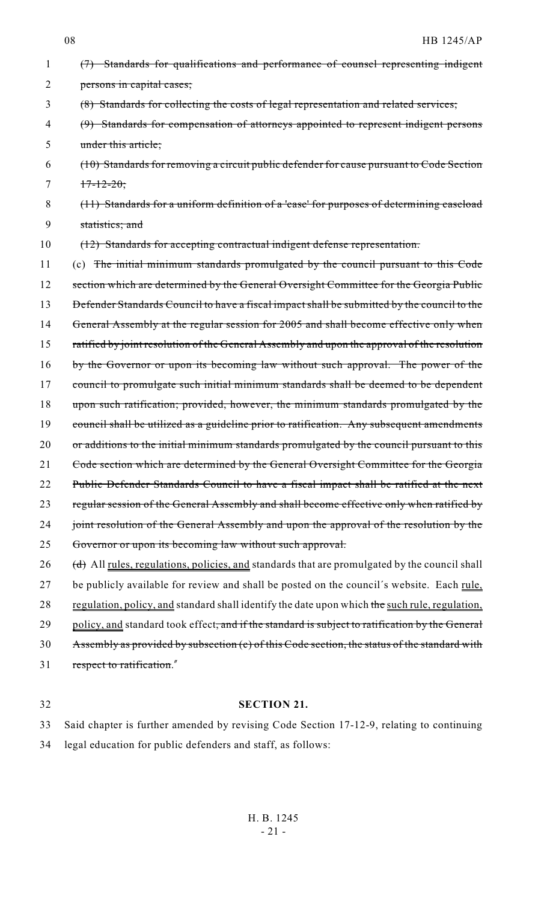| 1  | Standards for qualifications and performance of counsel representing indigent                   |
|----|-------------------------------------------------------------------------------------------------|
| 2  | persons in capital cases;                                                                       |
| 3  | (8) Standards for collecting the costs of legal representation and related services;            |
| 4  | (9) Standards for compensation of attorneys appointed to represent indigent persons             |
| 5  | under this article;                                                                             |
| 6  | (10) Standards for removing a circuit public defender for cause pursuant to Code Section        |
| 7  | $17 - 12 - 20$ ;                                                                                |
| 8  | (11) Standards for a uniform definition of a 'case' for purposes of determining caseload        |
| 9  | statistics; and                                                                                 |
| 10 | (12) Standards for accepting contractual indigent defense representation.                       |
| 11 | The initial minimum standards promulgated by the council pursuant to this Code<br>(c)           |
| 12 | section which are determined by the General Oversight Committee for the Georgia Public          |
| 13 | Defender Standards Council to have a fiscal impact shall be submitted by the council to the     |
| 14 | General Assembly at the regular session for 2005 and shall become effective only when           |
| 15 | ratified by joint resolution of the General Assembly and upon the approval of the resolution    |
| 16 | by the Governor or upon its becoming law without such approval. The power of the                |
| 17 | council to promulgate such initial minimum standards shall be deemed to be dependent            |
| 18 | upon such ratification; provided, however, the minimum standards promulgated by the             |
| 19 | council shall be utilized as a guideline prior to ratification. Any subsequent amendments       |
| 20 | or additions to the initial minimum standards promulgated by the council pursuant to this       |
| 21 | Code section which are determined by the General Oversight Committee for the Georgia            |
| 22 | Public Defender Standards Council to have a fiscal impact shall be ratified at the next         |
| 23 | regular session of the General Assembly and shall become effective only when ratified by        |
| 24 | joint resolution of the General Assembly and upon the approval of the resolution by the         |
| 25 | Governor or upon its becoming law without such approval.                                        |
| 26 | $(d)$ All rules, regulations, policies, and standards that are promulgated by the council shall |
| 27 | be publicly available for review and shall be posted on the council's website. Each rule,       |
| 28 | regulation, policy, and standard shall identify the date upon which the such rule, regulation,  |
| 29 | policy, and standard took effect, and if the standard is subject to ratification by the General |
| 30 | Assembly as provided by subsection $(c)$ of this Code section, the status of the standard with  |
| 31 | respect to ratification."                                                                       |
|    |                                                                                                 |

### **SECTION 21.**

- Said chapter is further amended by revising Code Section 17-12-9, relating to continuing
- legal education for public defenders and staff, as follows: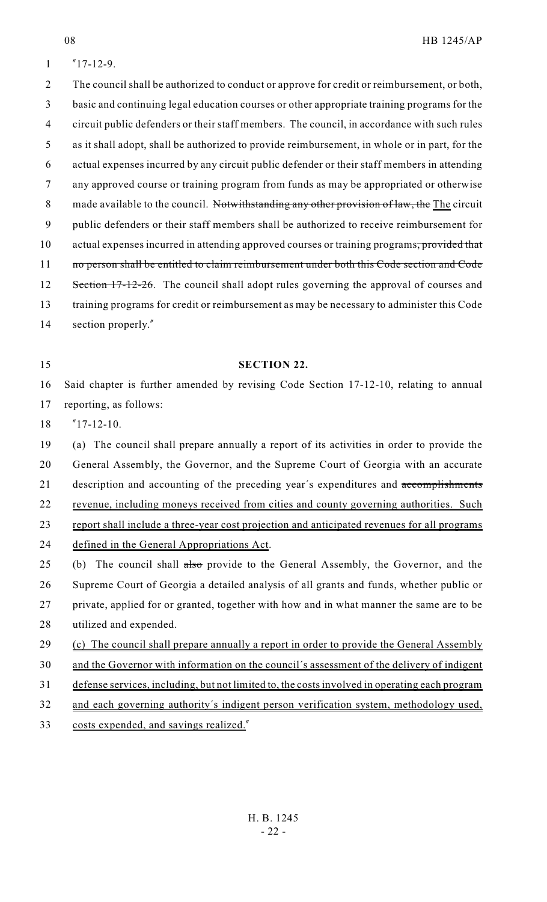$"17-12-9.$ 2 The council shall be authorized to conduct or approve for credit or reimbursement, or both, basic and continuing legal education courses or other appropriate training programs for the circuit public defenders or their staff members. The council, in accordance with such rules as it shall adopt, shall be authorized to provide reimbursement, in whole or in part, for the actual expenses incurred by any circuit public defender or their staff members in attending any approved course or training program from funds as may be appropriated or otherwise 8 made available to the council. Notwithstanding any other provision of law, the The circuit public defenders or their staff members shall be authorized to receive reimbursement for 10 actual expenses incurred in attending approved courses or training programs, provided that 11 no person shall be entitled to claim reimbursement under both this Code section and Code 12 Section 17-12-26. The council shall adopt rules governing the approval of courses and training programs for credit or reimbursement as may be necessary to administer this Code section properly."

### **SECTION 22.**

 Said chapter is further amended by revising Code Section 17-12-10, relating to annual reporting, as follows:

"17-12-10.

 (a) The council shall prepare annually a report of its activities in order to provide the General Assembly, the Governor, and the Supreme Court of Georgia with an accurate 21 description and accounting of the preceding year's expenditures and accomplishments 22 revenue, including moneys received from cities and county governing authorities. Such report shall include a three-year cost projection and anticipated revenues for all programs defined in the General Appropriations Act. 25 (b) The council shall also provide to the General Assembly, the Governor, and the Supreme Court of Georgia a detailed analysis of all grants and funds, whether public or private, applied for or granted, together with how and in what manner the same are to be utilized and expended. (c) The council shall prepare annually a report in order to provide the General Assembly

- 
- and the Governor with information on the council´s assessment of the delivery of indigent
- defense services, including, but not limited to, the costs involved in operating each program
- 32 and each governing authority's indigent person verification system, methodology used,
- costs expended, and savings realized."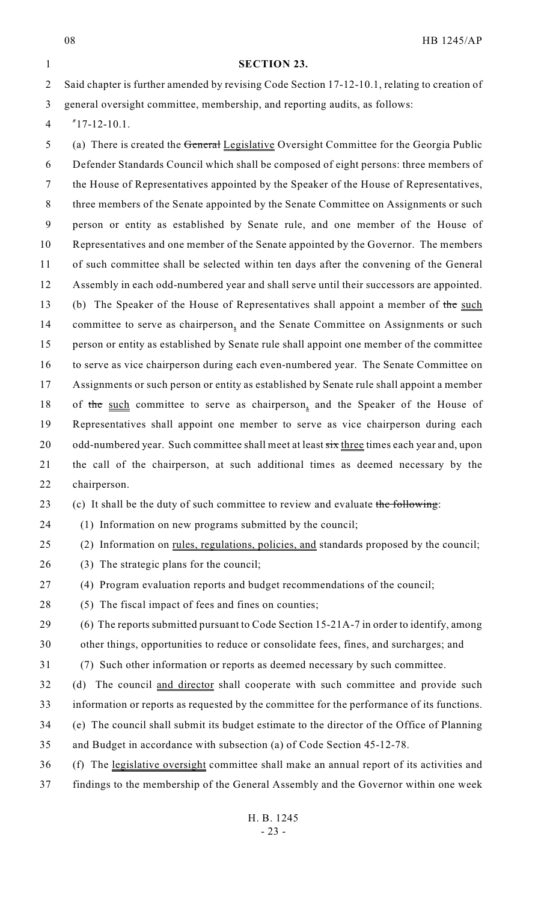| $\mathbf{1}$   | <b>SECTION 23.</b>                                                                                |
|----------------|---------------------------------------------------------------------------------------------------|
| $\overline{2}$ | Said chapter is further amended by revising Code Section 17-12-10.1, relating to creation of      |
| 3              | general oversight committee, membership, and reporting audits, as follows:                        |
| $\overline{4}$ | $"17-12-10.1.$                                                                                    |
| 5              | (a) There is created the General Legislative Oversight Committee for the Georgia Public           |
| 6              | Defender Standards Council which shall be composed of eight persons: three members of             |
| $\overline{7}$ | the House of Representatives appointed by the Speaker of the House of Representatives,            |
| $8\,$          | three members of the Senate appointed by the Senate Committee on Assignments or such              |
| 9              | person or entity as established by Senate rule, and one member of the House of                    |
| 10             | Representatives and one member of the Senate appointed by the Governor. The members               |
| 11             | of such committee shall be selected within ten days after the convening of the General            |
| 12             | Assembly in each odd-numbered year and shall serve until their successors are appointed.          |
| 13             | (b) The Speaker of the House of Representatives shall appoint a member of the such                |
| 14             | committee to serve as chairperson, and the Senate Committee on Assignments or such                |
| 15             | person or entity as established by Senate rule shall appoint one member of the committee          |
| 16             | to serve as vice chairperson during each even-numbered year. The Senate Committee on              |
| 17             | Assignments or such person or entity as established by Senate rule shall appoint a member         |
| 18             | of the such committee to serve as chairperson, and the Speaker of the House of                    |
| 19             | Representatives shall appoint one member to serve as vice chairperson during each                 |
| 20             | odd-numbered year. Such committee shall meet at least six three times each year and, upon         |
| 21             | the call of the chairperson, at such additional times as deemed necessary by the                  |
| 22             | chairperson.                                                                                      |
| 23             | (c) It shall be the duty of such committee to review and evaluate the following:                  |
| 24             | (1) Information on new programs submitted by the council;                                         |
| 25             | Information on <u>rules, regulations, policies, and</u> standards proposed by the council;<br>(2) |
| 26             | The strategic plans for the council;<br>(3)                                                       |
| 27             | (4) Program evaluation reports and budget recommendations of the council;                         |
| 28             | (5) The fiscal impact of fees and fines on counties;                                              |
| 29             | (6) The reports submitted pursuant to Code Section 15-21A-7 in order to identify, among           |
| 30             | other things, opportunities to reduce or consolidate fees, fines, and surcharges; and             |
| 31             | (7) Such other information or reports as deemed necessary by such committee.                      |
| 32             | The council and director shall cooperate with such committee and provide such<br>(d)              |
| 33             | information or reports as requested by the committee for the performance of its functions.        |
| 34             | (e) The council shall submit its budget estimate to the director of the Office of Planning        |
| 35             | and Budget in accordance with subsection (a) of Code Section 45-12-78.                            |
| 36             | The legislative oversight committee shall make an annual report of its activities and<br>(f)      |
| 37             | findings to the membership of the General Assembly and the Governor within one week               |
|                |                                                                                                   |

H. B. 1245 - 23 -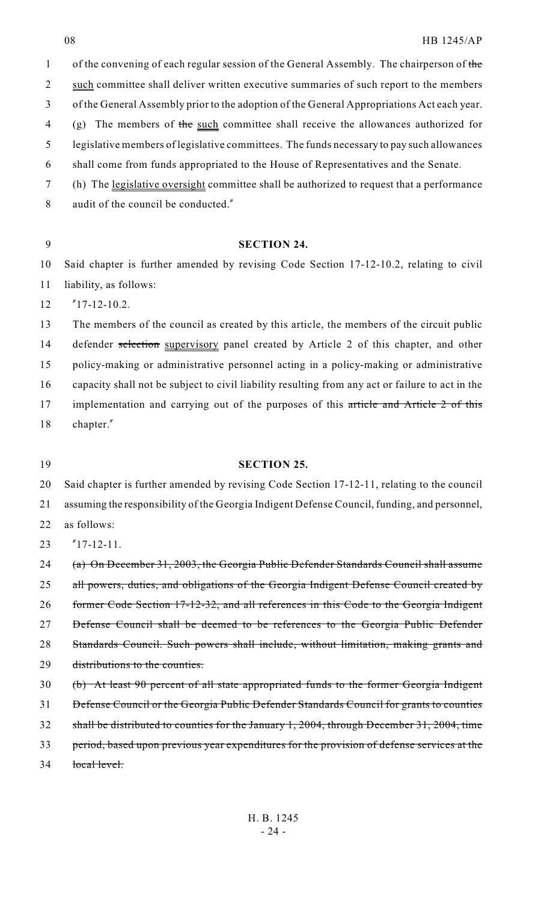1 of the convening of each regular session of the General Assembly. The chairperson of the such committee shall deliver written executive summaries of such report to the members of the General Assembly prior to the adoption of the General Appropriations Act each year. (g) The members of the such committee shall receive the allowances authorized for legislative members of legislative committees. The funds necessary to pay such allowances shall come from funds appropriated to the House of Representatives and the Senate. (h) The legislative oversight committee shall be authorized to request that a performance

#### **SECTION 24.**

 Said chapter is further amended by revising Code Section 17-12-10.2, relating to civil liability, as follows:

"17-12-10.2.

audit of the council be conducted."

 The members of the council as created by this article, the members of the circuit public 14 defender selection supervisory panel created by Article 2 of this chapter, and other policy-making or administrative personnel acting in a policy-making or administrative capacity shall not be subject to civil liability resulting from any act or failure to act in the 17 implementation and carrying out of the purposes of this article and Article 2 of this chapter."

#### **SECTION 25.**

Said chapter is further amended by revising Code Section 17-12-11, relating to the council

assuming the responsibility of the Georgia Indigent Defense Council, funding, and personnel,

as follows:

"17-12-11.

24 (a) On December 31, 2003, the Georgia Public Defender Standards Council shall assume 25 all powers, duties, and obligations of the Georgia Indigent Defense Council created by former Code Section 17-12-32, and all references in this Code to the Georgia Indigent 27 Defense Council shall be deemed to be references to the Georgia Public Defender Standards Council. Such powers shall include, without limitation, making grants and distributions to the counties. (b) At least 90 percent of all state appropriated funds to the former Georgia Indigent Defense Council or the Georgia Public Defender Standards Council for grants to counties 32 shall be distributed to counties for the January 1, 2004, through December 31, 2004, time

period, based upon previous year expenditures for the provision of defense services at the

34 local level.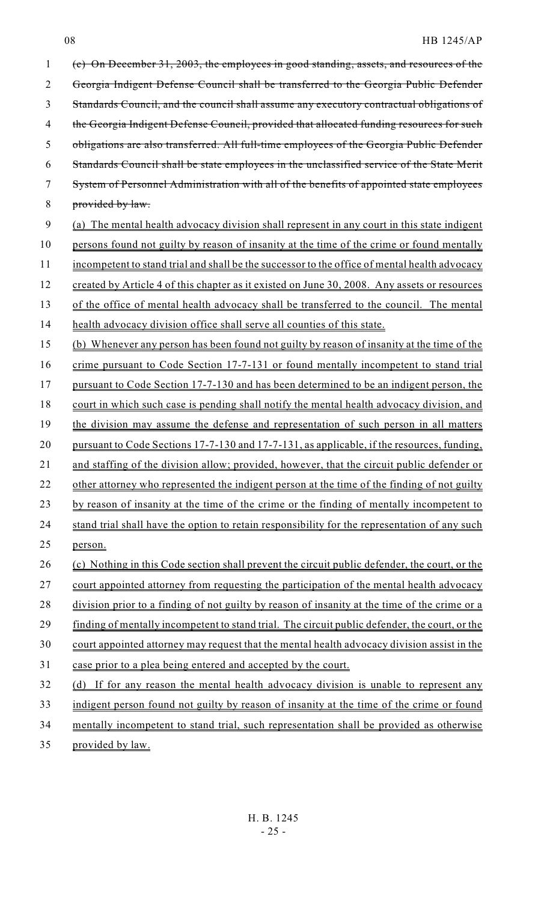1 (c) On December 31, 2003, the employees in good standing, assets, and resources of the 2 Georgia Indigent Defense Council shall be transferred to the Georgia Public Defender 3 Standards Council, and the council shall assume any executory contractual obligations of 4 the Georgia Indigent Defense Council, provided that allocated funding resources for such 5 obligations are also transferred. All full-time employees of the Georgia Public Defender 6 Standards Council shall be state employees in the unclassified service of the State Merit 7 System of Personnel Administration with all of the benefits of appointed state employees 8 provided by law. 9 (a) The mental health advocacy division shall represent in any court in this state indigent 10 persons found not guilty by reason of insanity at the time of the crime or found mentally 11 incompetent to stand trial and shall be the successor to the office of mental health advocacy 12 created by Article 4 of this chapter as it existed on June 30, 2008. Any assets or resources 13 of the office of mental health advocacy shall be transferred to the council. The mental 14 health advocacy division office shall serve all counties of this state. 15 (b) Whenever any person has been found not guilty by reason of insanity at the time of the 16 crime pursuant to Code Section 17-7-131 or found mentally incompetent to stand trial 17 pursuant to Code Section 17-7-130 and has been determined to be an indigent person, the 18 court in which such case is pending shall notify the mental health advocacy division, and 19 the division may assume the defense and representation of such person in all matters 20 pursuant to Code Sections 17-7-130 and 17-7-131, as applicable, if the resources, funding, 21 and staffing of the division allow; provided, however, that the circuit public defender or 22 other attorney who represented the indigent person at the time of the finding of not guilty 23 by reason of insanity at the time of the crime or the finding of mentally incompetent to 24 stand trial shall have the option to retain responsibility for the representation of any such 25 person. 26 (c) Nothing in this Code section shall prevent the circuit public defender, the court, or the 27 court appointed attorney from requesting the participation of the mental health advocacy 28 division prior to a finding of not guilty by reason of insanity at the time of the crime or a 29 finding of mentally incompetent to stand trial. The circuit public defender, the court, or the 30 court appointed attorney may request that the mental health advocacy division assist in the 31 case prior to a plea being entered and accepted by the court. 32 (d) If for any reason the mental health advocacy division is unable to represent any 33 indigent person found not guilty by reason of insanity at the time of the crime or found 34 mentally incompetent to stand trial, such representation shall be provided as otherwise 35 provided by law.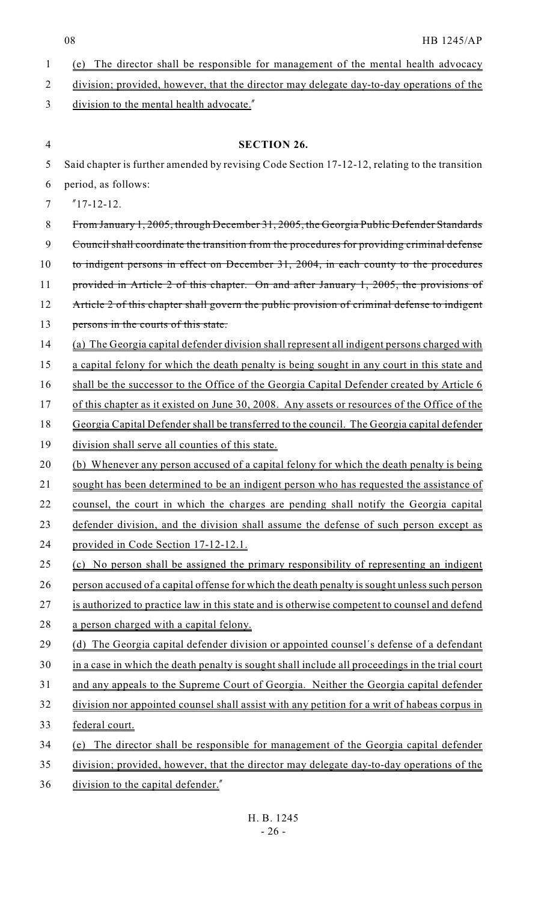| $\mathbf{1}$   | The director shall be responsible for management of the mental health advocacy<br>(e)           |
|----------------|-------------------------------------------------------------------------------------------------|
| $\overline{2}$ | division; provided, however, that the director may delegate day-to-day operations of the        |
| 3              | division to the mental health advocate."                                                        |
|                |                                                                                                 |
| $\overline{4}$ | <b>SECTION 26.</b>                                                                              |
| 5              | Said chapter is further amended by revising Code Section 17-12-12, relating to the transition   |
| 6              | period, as follows:                                                                             |
| $\tau$         | $"17-12-12.$                                                                                    |
| 8              | From January 1, 2005, through December 31, 2005, the Georgia Public Defender Standards          |
| 9              | Council shall coordinate the transition from the procedures for providing criminal defense      |
| 10             | to indigent persons in effect on December 31, 2004, in each county to the procedures            |
| 11             | provided in Article 2 of this chapter. On and after January 1, 2005, the provisions of          |
| 12             | Article 2 of this chapter shall govern the public provision of criminal defense to indigent     |
| 13             | persons in the courts of this state.                                                            |
| 14             | (a) The Georgia capital defender division shall represent all indigent persons charged with     |
| 15             | a capital felony for which the death penalty is being sought in any court in this state and     |
| 16             | shall be the successor to the Office of the Georgia Capital Defender created by Article 6       |
| 17             | of this chapter as it existed on June 30, 2008. Any assets or resources of the Office of the    |
| 18             | Georgia Capital Defender shall be transferred to the council. The Georgia capital defender      |
| 19             | division shall serve all counties of this state.                                                |
| 20             | (b) Whenever any person accused of a capital felony for which the death penalty is being        |
| 21             | sought has been determined to be an indigent person who has requested the assistance of         |
| 22             | counsel, the court in which the charges are pending shall notify the Georgia capital            |
| 23             | defender division, and the division shall assume the defense of such person except as           |
| 24             | provided in Code Section 17-12-12.1.                                                            |
| 25             | No person shall be assigned the primary responsibility of representing an indigent<br>(c)       |
| 26             | person accused of a capital offense for which the death penalty is sought unless such person    |
| 27             | is authorized to practice law in this state and is otherwise competent to counsel and defend    |
| 28             | a person charged with a capital felony.                                                         |
| 29             | The Georgia capital defender division or appointed counsel's defense of a defendant<br>(d)      |
| 30             | in a case in which the death penalty is sought shall include all proceedings in the trial court |
| 31             | and any appeals to the Supreme Court of Georgia. Neither the Georgia capital defender           |
| 32             | division nor appointed counsel shall assist with any petition for a writ of habeas corpus in    |
| 33             | federal court.                                                                                  |
| 34             | The director shall be responsible for management of the Georgia capital defender<br>(e)         |
| 35             | division; provided, however, that the director may delegate day-to-day operations of the        |

36 division to the capital defender."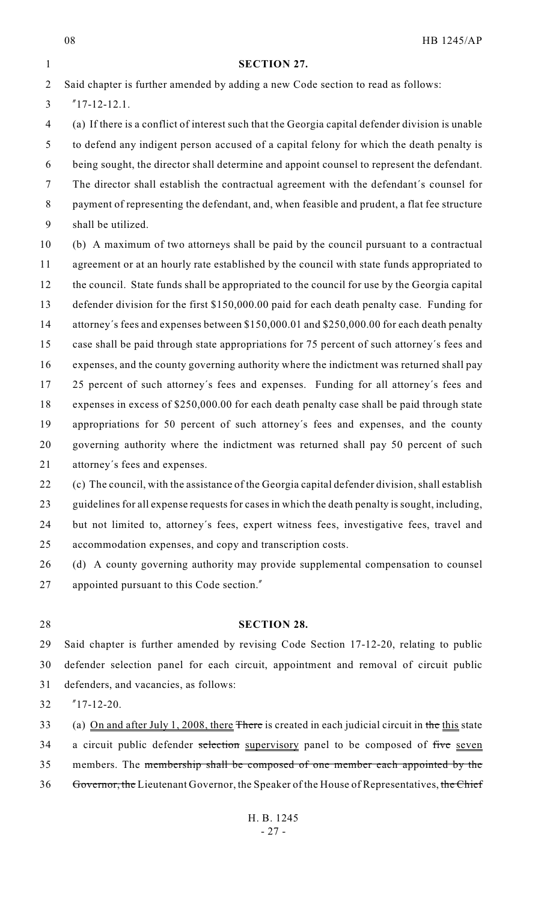|                  | HB 1245/AP<br>08                                                                                 |
|------------------|--------------------------------------------------------------------------------------------------|
| $\mathbf{1}$     | <b>SECTION 27.</b>                                                                               |
| $\overline{2}$   | Said chapter is further amended by adding a new Code section to read as follows:                 |
| 3                | $"17-12-12.1.$                                                                                   |
| $\overline{4}$   | (a) If there is a conflict of interest such that the Georgia capital defender division is unable |
| 5                | to defend any indigent person accused of a capital felony for which the death penalty is         |
| 6                | being sought, the director shall determine and appoint counsel to represent the defendant.       |
| $\tau$           | The director shall establish the contractual agreement with the defendant's counsel for          |
| 8                | payment of representing the defendant, and, when feasible and prudent, a flat fee structure      |
| $\boldsymbol{9}$ | shall be utilized.                                                                               |
| 10               | (b) A maximum of two attorneys shall be paid by the council pursuant to a contractual            |
| 11               | agreement or at an hourly rate established by the council with state funds appropriated to       |
| 12               | the council. State funds shall be appropriated to the council for use by the Georgia capital     |
| 13               | defender division for the first \$150,000.00 paid for each death penalty case. Funding for       |
| 14               | attorney's fees and expenses between \$150,000.01 and \$250,000.00 for each death penalty        |
| 15               | case shall be paid through state appropriations for 75 percent of such attorney's fees and       |
| 16               | expenses, and the county governing authority where the indictment was returned shall pay         |
| 17               | 25 percent of such attorney's fees and expenses. Funding for all attorney's fees and             |
| 18               | expenses in excess of \$250,000.00 for each death penalty case shall be paid through state       |
| 19               | appropriations for 50 percent of such attorney's fees and expenses, and the county               |
| 20               | governing authority where the indictment was returned shall pay 50 percent of such               |
| 21               | attorney's fees and expenses.                                                                    |
| 22               | (c) The council, with the assistance of the Georgia capital defender division, shall establish   |
| 23               | guidelines for all expense requests for cases in which the death penalty is sought, including,   |
| 24               | but not limited to, attorney's fees, expert witness fees, investigative fees, travel and         |
| 25               | accommodation expenses, and copy and transcription costs.                                        |
| 26               | (d) A county governing authority may provide supplemental compensation to counsel                |
| 27               | appointed pursuant to this Code section."                                                        |
|                  |                                                                                                  |

#### **SECTION 28.**

 Said chapter is further amended by revising Code Section 17-12-20, relating to public defender selection panel for each circuit, appointment and removal of circuit public defenders, and vacancies, as follows:

"17-12-20.

33 (a) On and after July 1, 2008, there There is created in each judicial circuit in the this state 34 a circuit public defender selection supervisory panel to be composed of five seven 35 members. The membership shall be composed of one member each appointed by the 36 Governor, the Lieutenant Governor, the Speaker of the House of Representatives, the Chief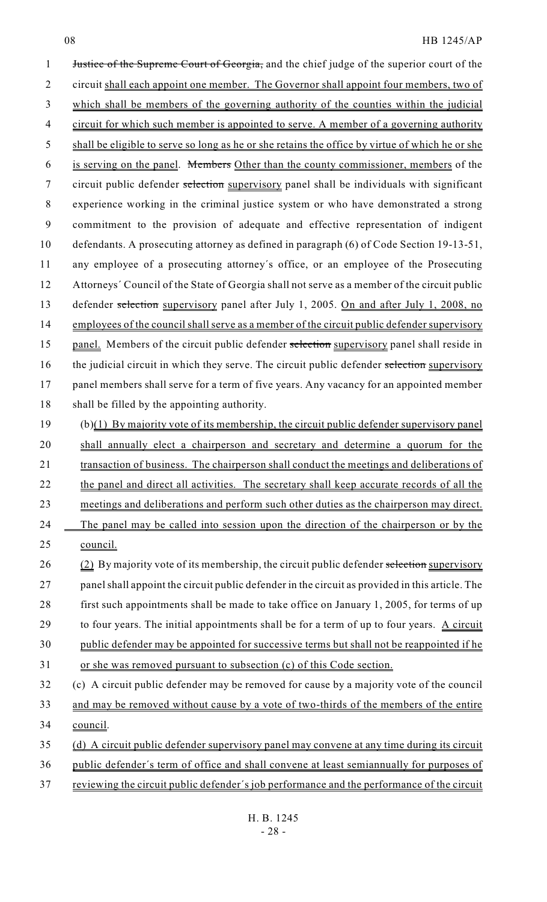1 Justice of the Supreme Court of Georgia, and the chief judge of the superior court of the 2 circuit shall each appoint one member. The Governor shall appoint four members, two of 3 which shall be members of the governing authority of the counties within the judicial 4 circuit for which such member is appointed to serve. A member of a governing authority 5 shall be eligible to serve so long as he or she retains the office by virtue of which he or she 6 is serving on the panel. Members Other than the county commissioner, members of the 7 circuit public defender selection supervisory panel shall be individuals with significant 8 experience working in the criminal justice system or who have demonstrated a strong 9 commitment to the provision of adequate and effective representation of indigent 10 defendants. A prosecuting attorney as defined in paragraph (6) of Code Section 19-13-51, 11 any employee of a prosecuting attorney´s office, or an employee of the Prosecuting 12 Attorneys´ Council of the State of Georgia shall not serve as a member of the circuit public 13 defender selection supervisory panel after July 1, 2005. On and after July 1, 2008, no 14 employees of the council shall serve as a member of the circuit public defender supervisory 15 panel. Members of the circuit public defender selection supervisory panel shall reside in 16 the judicial circuit in which they serve. The circuit public defender selection supervisory 17 panel members shall serve for a term of five years. Any vacancy for an appointed member 18 shall be filled by the appointing authority. 19 (b)(1) By majority vote of its membership, the circuit public defender supervisory panel 20 shall annually elect a chairperson and secretary and determine a quorum for the 21 transaction of business. The chairperson shall conduct the meetings and deliberations of 22 the panel and direct all activities. The secretary shall keep accurate records of all the 23 meetings and deliberations and perform such other duties as the chairperson may direct. 24 The panel may be called into session upon the direction of the chairperson or by the 25 council. 26 (2) By majority vote of its membership, the circuit public defender selection supervisory 27 panel shall appoint the circuit public defender in the circuit as provided in this article. The 28 first such appointments shall be made to take office on January 1, 2005, for terms of up 29 to four years. The initial appointments shall be for a term of up to four years. A circuit 30 public defender may be appointed for successive terms but shall not be reappointed if he 31 or she was removed pursuant to subsection (c) of this Code section. 32 (c) A circuit public defender may be removed for cause by a majority vote of the council 33 and may be removed without cause by a vote of two-thirds of the members of the entire 34 council. 35 (d) A circuit public defender supervisory panel may convene at any time during its circuit 36 public defender´s term of office and shall convene at least semiannually for purposes of 37 reviewing the circuit public defender´s job performance and the performance of the circuit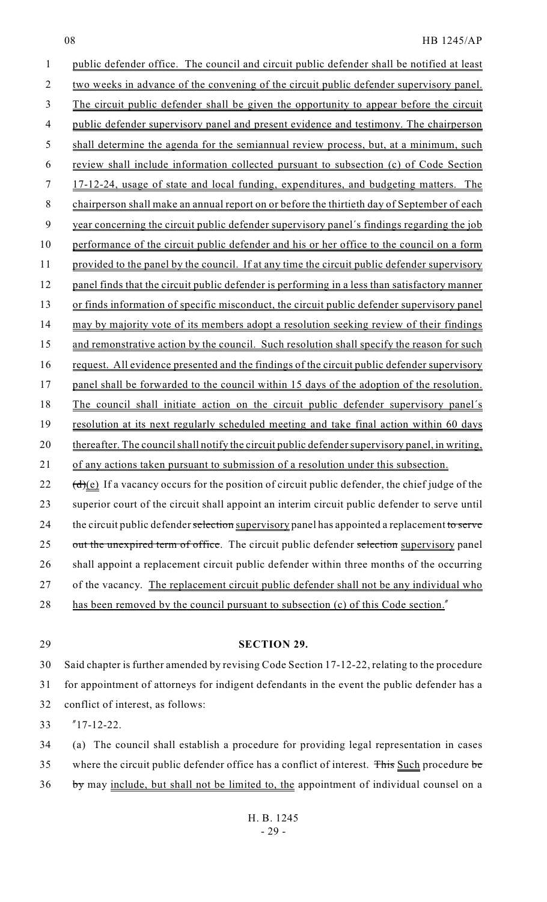| $\mathbf{1}$   | public defender office. The council and circuit public defender shall be notified at least       |
|----------------|--------------------------------------------------------------------------------------------------|
| $\overline{2}$ | two weeks in advance of the convening of the circuit public defender supervisory panel.          |
| 3              | The circuit public defender shall be given the opportunity to appear before the circuit          |
| $\overline{4}$ | public defender supervisory panel and present evidence and testimony. The chairperson            |
| 5              | shall determine the agenda for the semiannual review process, but, at a minimum, such            |
| 6              | review shall include information collected pursuant to subsection (c) of Code Section            |
| $\overline{7}$ | 17-12-24, usage of state and local funding, expenditures, and budgeting matters. The             |
| 8              | chairperson shall make an annual report on or before the thirtieth day of September of each      |
| 9              | year concerning the circuit public defender supervisory panel's findings regarding the job       |
| 10             | performance of the circuit public defender and his or her office to the council on a form        |
| 11             | provided to the panel by the council. If at any time the circuit public defender supervisory     |
| 12             | panel finds that the circuit public defender is performing in a less than satisfactory manner    |
| 13             | or finds information of specific misconduct, the circuit public defender supervisory panel       |
| 14             | may by majority vote of its members adopt a resolution seeking review of their findings          |
| 15             | and remonstrative action by the council. Such resolution shall specify the reason for such       |
| 16             | request. All evidence presented and the findings of the circuit public defender supervisory      |
| 17             | panel shall be forwarded to the council within 15 days of the adoption of the resolution.        |
| 18             | The council shall initiate action on the circuit public defender supervisory panel's             |
| 19             | resolution at its next regularly scheduled meeting and take final action within 60 days          |
| 20             | thereafter. The council shall notify the circuit public defender supervisory panel, in writing,  |
| 21             | of any actions taken pursuant to submission of a resolution under this subsection.               |
| 22             | $(d)(e)$ If a vacancy occurs for the position of circuit public defender, the chief judge of the |
| 23             | superior court of the circuit shall appoint an interim circuit public defender to serve until    |

24 the circuit public defender selection supervisory panel has appointed a replacement to serve

25 out the unexpired term of office. The circuit public defender selection supervisory panel

- shall appoint a replacement circuit public defender within three months of the occurring
- 27 of the vacancy. The replacement circuit public defender shall not be any individual who
- 28 has been removed by the council pursuant to subsection (c) of this Code section."
- 

#### **SECTION 29.**

 Said chapter is further amended by revising Code Section 17-12-22, relating to the procedure for appointment of attorneys for indigent defendants in the event the public defender has a conflict of interest, as follows:

"17-12-22.

 (a) The council shall establish a procedure for providing legal representation in cases 35 where the circuit public defender office has a conflict of interest. This Such procedure be 36 by may include, but shall not be limited to, the appointment of individual counsel on a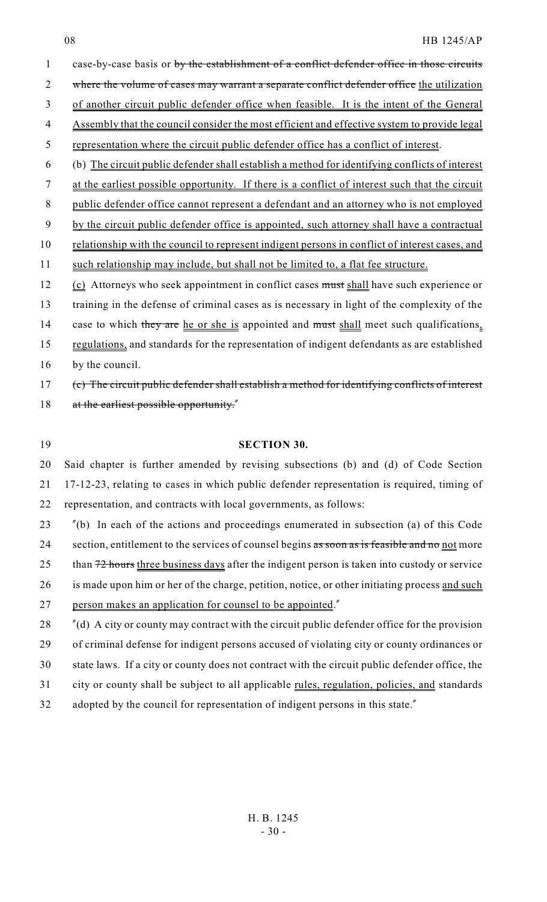1 case-by-case basis or by the establishment of a conflict defender office in those circuits

2 where the volume of cases may warrant a separate conflict defender office the utilization

3 of another circuit public defender office when feasible. It is the intent of the General

- 4 Assembly that the council consider the most efficient and effective system to provide legal
- 5 representation where the circuit public defender office has a conflict of interest.
- 6 (b) The circuit public defender shall establish a method for identifying conflicts of interest
- 7 at the earliest possible opportunity. If there is a conflict of interest such that the circuit
- 8 public defender office cannot represent a defendant and an attorney who is not employed
- 9 by the circuit public defender office is appointed, such attorney shall have a contractual
- 10 relationship with the council to represent indigent persons in conflict of interest cases, and
- 11 such relationship may include, but shall not be limited to, a flat fee structure.

12 (c) Attorneys who seek appointment in conflict cases must shall have such experience or 13 training in the defense of criminal cases as is necessary in light of the complexity of the 14 case to which they are he or she is appointed and must shall meet such qualifications, 15 regulations, and standards for the representation of indigent defendants as are established

- 16 by the council.
- 17 (c) The circuit public defender shall establish a method for identifying conflicts of interest
- 18 at the earliest possible opportunity."
- 

### 19 **SECTION 30.**

20 Said chapter is further amended by revising subsections (b) and (d) of Code Section 21 17-12-23, relating to cases in which public defender representation is required, timing of 22 representation, and contracts with local governments, as follows:

23 "(b) In each of the actions and proceedings enumerated in subsection (a) of this Code 24 section, entitlement to the services of counsel begins as soon as is feasible and no not more 25 than  $72$  hours three business days after the indigent person is taken into custody or service 26 is made upon him or her of the charge, petition, notice, or other initiating process and such 27 person makes an application for counsel to be appointed." 28 "(d) A city or county may contract with the circuit public defender office for the provision

- 29 of criminal defense for indigent persons accused of violating city or county ordinances or 30 state laws. If a city or county does not contract with the circuit public defender office, the 31 city or county shall be subject to all applicable rules, regulation, policies, and standards
- 32 adopted by the council for representation of indigent persons in this state."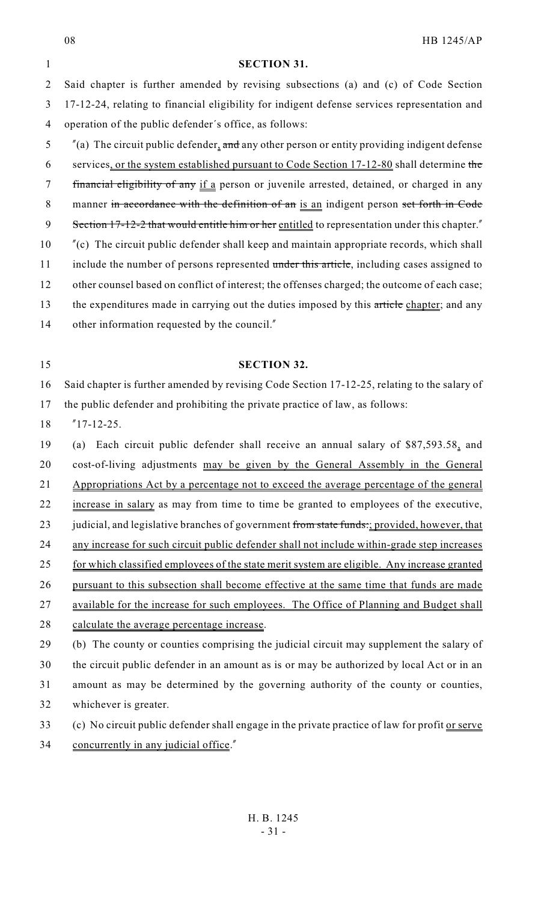|                | 08<br>HB 1245/AP                                                                                   |
|----------------|----------------------------------------------------------------------------------------------------|
| $\mathbf{1}$   | <b>SECTION 31.</b>                                                                                 |
| 2              | Said chapter is further amended by revising subsections (a) and (c) of Code Section                |
| 3              | 17-12-24, relating to financial eligibility for indigent defense services representation and       |
| $\overline{4}$ | operation of the public defender's office, as follows:                                             |
| 5              | $''(a)$ The circuit public defender, and any other person or entity providing indigent defense     |
| 6              | services, or the system established pursuant to Code Section 17-12-80 shall determine the          |
| $\overline{7}$ | financial eligibility of any if a person or juvenile arrested, detained, or charged in any         |
| $8\,$          | manner in accordance with the definition of an is an indigent person set forth in Code             |
| 9              | Section 17-12-2 that would entitle him or her entitled to representation under this chapter."      |
| 10             | $\degree$ (c) The circuit public defender shall keep and maintain appropriate records, which shall |
| 11             | include the number of persons represented under this article, including cases assigned to          |
| 12             | other counsel based on conflict of interest; the offenses charged; the outcome of each case;       |
| 13             | the expenditures made in carrying out the duties imposed by this article chapter; and any          |
| 14             | other information requested by the council."                                                       |
|                |                                                                                                    |
| 15             | <b>SECTION 32.</b>                                                                                 |
| 16             | Said chapter is further amended by revising Code Section 17-12-25, relating to the salary of       |
| 17             | the public defender and prohibiting the private practice of law, as follows:                       |
| 18             | $"17-12-25.$                                                                                       |
| 19             | Each circuit public defender shall receive an annual salary of \$87,593.58, and<br>(a)             |
| 20             | cost-of-living adjustments may be given by the General Assembly in the General                     |
| 21             | Appropriations Act by a percentage not to exceed the average percentage of the general             |
| 22             | increase in salary as may from time to time be granted to employees of the executive,              |
| 23             | judicial, and legislative branches of government from state funds:; provided, however, that        |
| 24             | any increase for such circuit public defender shall not include within-grade step increases        |
| 25             | for which classified employees of the state merit system are eligible. Any increase granted        |
| 26             | pursuant to this subsection shall become effective at the same time that funds are made            |
| 27             | available for the increase for such employees. The Office of Planning and Budget shall             |
| 28             | calculate the average percentage increase.                                                         |
| 29             | (b) The county or counties comprising the judicial circuit may supplement the salary of            |
| 30             | the circuit public defender in an amount as is or may be authorized by local Act or in an          |
| 31             | amount as may be determined by the governing authority of the county or counties,                  |
| 32             | whichever is greater.                                                                              |
| 33             | (c) No circuit public defender shall engage in the private practice of law for profit or serve     |
| 34             | concurrently in any judicial office."                                                              |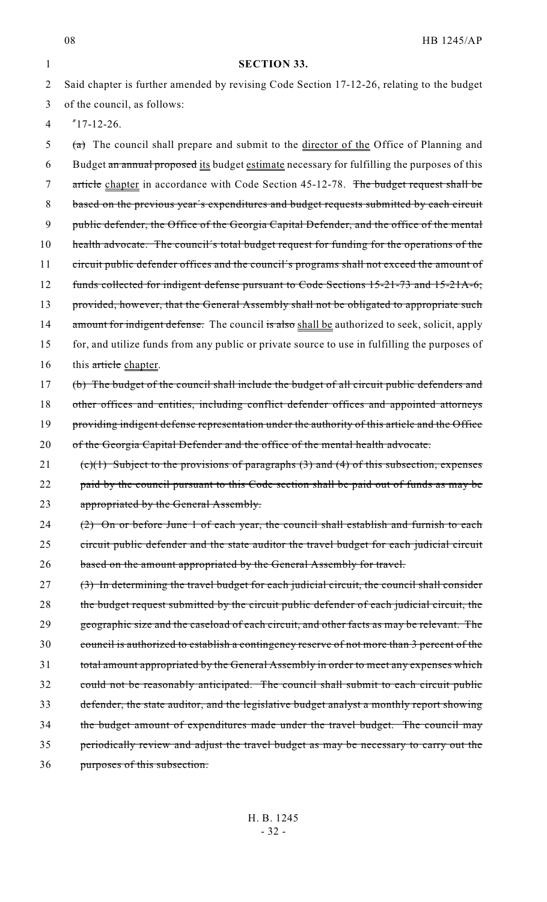| e<br>×<br>×<br>٩ | I |
|------------------|---|
|                  |   |

H. B. 1245 1 **SECTION 33.** 2 Said chapter is further amended by revising Code Section 17-12-26, relating to the budget 3 of the council, as follows: 4 "17-12-26.  $5$  (a) The council shall prepare and submit to the director of the Office of Planning and 6 Budget an annual proposed its budget estimate necessary for fulfilling the purposes of this 7 article chapter in accordance with Code Section 45-12-78. The budget request shall be 8 based on the previous year´s expenditures and budget requests submitted by each circuit 9 public defender, the Office of the Georgia Capital Defender, and the office of the mental 10 health advocate. The council's total budget request for funding for the operations of the 11 circuit public defender offices and the council´s programs shall not exceed the amount of 12 funds collected for indigent defense pursuant to Code Sections 15-21-73 and 15-21A-6; 13 provided, however, that the General Assembly shall not be obligated to appropriate such 14 amount for indigent defense. The council is also shall be authorized to seek, solicit, apply 15 for, and utilize funds from any public or private source to use in fulfilling the purposes of 16 this article chapter. 17 (b) The budget of the council shall include the budget of all circuit public defenders and 18 other offices and entities, including conflict defender offices and appointed attorneys 19 providing indigent defense representation under the authority of this article and the Office 20 of the Georgia Capital Defender and the office of the mental health advocate. 21 (c)(1) Subject to the provisions of paragraphs (3) and (4) of this subsection, expenses 22 paid by the council pursuant to this Code section shall be paid out of funds as may be 23 appropriated by the General Assembly. 24 (2) On or before June 1 of each year, the council shall establish and furnish to each 25 circuit public defender and the state auditor the travel budget for each judicial circuit 26 based on the amount appropriated by the General Assembly for travel. 27 (3) In determining the travel budget for each judicial circuit, the council shall consider 28 the budget request submitted by the circuit public defender of each judicial circuit, the 29 geographic size and the caseload of each circuit, and other facts as may be relevant. The 30 council is authorized to establish a contingency reserve of not more than 3 percent of the 31 total amount appropriated by the General Assembly in order to meet any expenses which 32 could not be reasonably anticipated. The council shall submit to each circuit public 33 defender, the state auditor, and the legislative budget analyst a monthly report showing 34 the budget amount of expenditures made under the travel budget. The council may 35 periodically review and adjust the travel budget as may be necessary to carry out the 36 purposes of this subsection.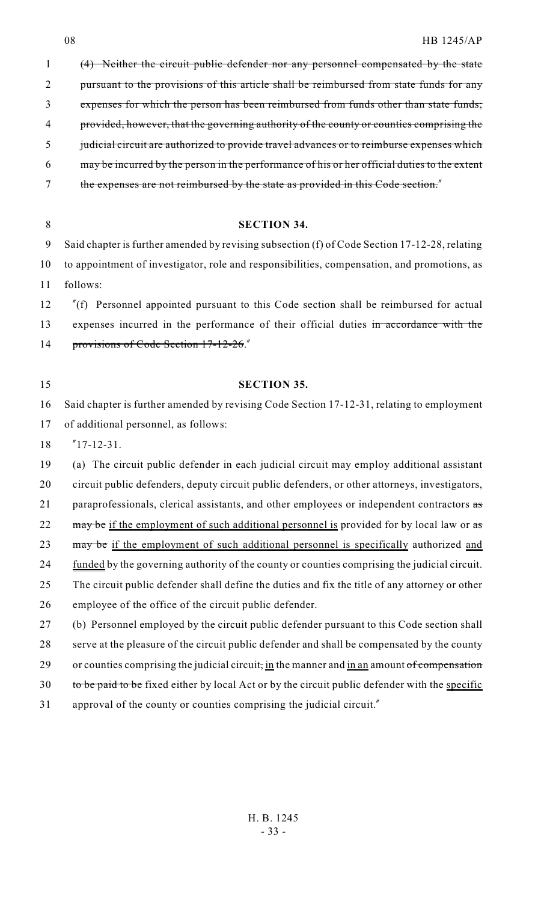|                          | (4) Neither the circuit public defender nor any personnel compensated by the state           |
|--------------------------|----------------------------------------------------------------------------------------------|
| $\mathcal{D}$            | pursuant to the provisions of this article shall be reimbursed from state funds for any      |
|                          | expenses for which the person has been reimbursed from funds other than state funds;         |
|                          | provided, however, that the governing authority of the county or counties comprising the     |
| $\overline{\mathcal{L}}$ | judicial circuit are authorized to provide travel advances or to reimburse expenses which    |
| -6                       | may be incurred by the person in the performance of his or her official duties to the extent |
|                          | the expenses are not reimbursed by the state as provided in this Code section."              |

#### **SECTION 34.**

 Said chapter is further amended by revising subsection (f) of Code Section 17-12-28, relating to appointment of investigator, role and responsibilities, compensation, and promotions, as follows:

 "(f) Personnel appointed pursuant to this Code section shall be reimbursed for actual 13 expenses incurred in the performance of their official duties in accordance with the provisions of Code Section 17-12-26."

#### **SECTION 35.**

 Said chapter is further amended by revising Code Section 17-12-31, relating to employment of additional personnel, as follows:

"17-12-31.

 (a) The circuit public defender in each judicial circuit may employ additional assistant circuit public defenders, deputy circuit public defenders, or other attorneys, investigators,

21 paraprofessionals, clerical assistants, and other employees or independent contractors as

may be if the employment of such additional personnel is provided for by local law or as

23 may be if the employment of such additional personnel is specifically authorized and

24 funded by the governing authority of the county or counties comprising the judicial circuit.

 The circuit public defender shall define the duties and fix the title of any attorney or other employee of the office of the circuit public defender.

(b) Personnel employed by the circuit public defender pursuant to this Code section shall

serve at the pleasure of the circuit public defender and shall be compensated by the county

29 or counties comprising the judicial circuit, in the manner and  $\frac{1}{2}$  an amount of compensation

30 to be paid to be fixed either by local Act or by the circuit public defender with the specific

approval of the county or counties comprising the judicial circuit."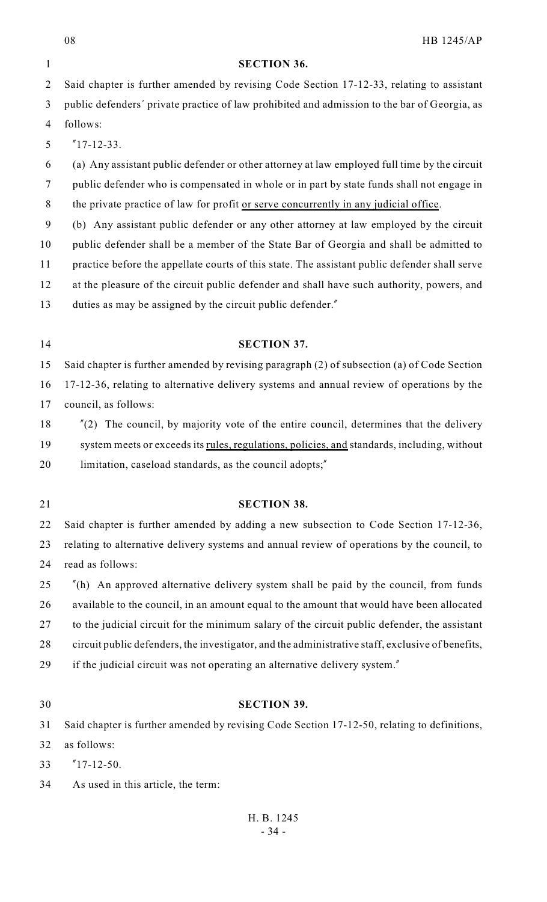|                | HB 1245/AP<br>08                                                                                 |
|----------------|--------------------------------------------------------------------------------------------------|
| $\mathbf{1}$   | <b>SECTION 36.</b>                                                                               |
| $\overline{2}$ | Said chapter is further amended by revising Code Section 17-12-33, relating to assistant         |
| 3              | public defenders' private practice of law prohibited and admission to the bar of Georgia, as     |
| $\overline{4}$ | follows:                                                                                         |
| 5              | $"17-12-33.$                                                                                     |
| 6              | (a) Any assistant public defender or other attorney at law employed full time by the circuit     |
| $\overline{7}$ | public defender who is compensated in whole or in part by state funds shall not engage in        |
| 8              | the private practice of law for profit or serve concurrently in any judicial office.             |
| 9              | (b) Any assistant public defender or any other attorney at law employed by the circuit           |
| 10             | public defender shall be a member of the State Bar of Georgia and shall be admitted to           |
| 11             | practice before the appellate courts of this state. The assistant public defender shall serve    |
| 12             | at the pleasure of the circuit public defender and shall have such authority, powers, and        |
| 13             | duties as may be assigned by the circuit public defender."                                       |
|                |                                                                                                  |
| 14             | <b>SECTION 37.</b>                                                                               |
| 15             | Said chapter is further amended by revising paragraph (2) of subsection (a) of Code Section      |
| 16             | 17-12-36, relating to alternative delivery systems and annual review of operations by the        |
| 17             | council, as follows:                                                                             |
| 18             | $''(2)$ The council, by majority vote of the entire council, determines that the delivery        |
| 19             | system meets or exceeds its rules, regulations, policies, and standards, including, without      |
| 20             | limitation, caseload standards, as the council adopts;"                                          |
| 21             | <b>SECTION 38.</b>                                                                               |
| 22             | Said chapter is further amended by adding a new subsection to Code Section 17-12-36,             |
| 23             | relating to alternative delivery systems and annual review of operations by the council, to      |
| 24             | read as follows:                                                                                 |
| 25             | $\ell$ (h) An approved alternative delivery system shall be paid by the council, from funds      |
| 26             | available to the council, in an amount equal to the amount that would have been allocated        |
| 27             | to the judicial circuit for the minimum salary of the circuit public defender, the assistant     |
| 28             | circuit public defenders, the investigator, and the administrative staff, exclusive of benefits, |
| 29             | if the judicial circuit was not operating an alternative delivery system."                       |
| 30             | <b>SECTION 39.</b>                                                                               |
| 31             | Said chapter is further amended by revising Code Section 17-12-50, relating to definitions,      |

- as follows:
	- "17-12-50.
	- As used in this article, the term: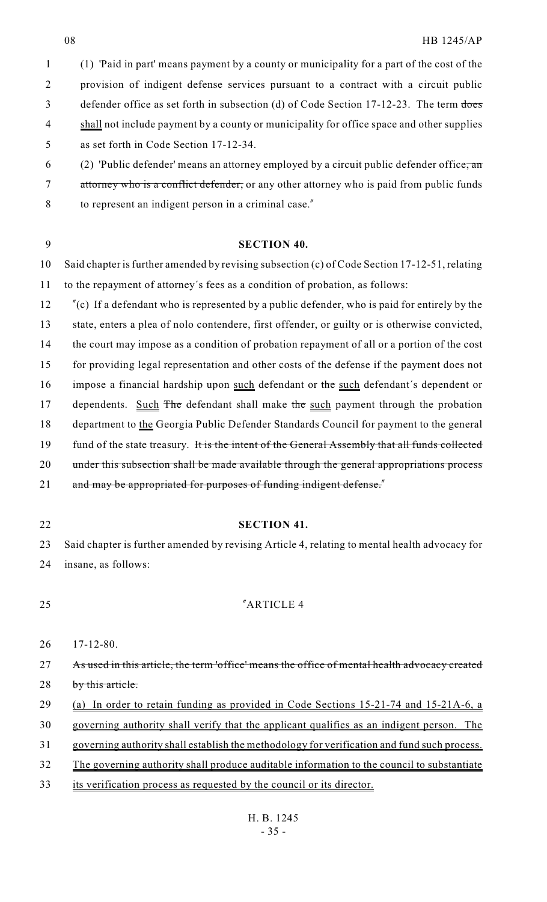1 (1) 'Paid in part' means payment by a county or municipality for a part of the cost of the 2 provision of indigent defense services pursuant to a contract with a circuit public 3 defender office as set forth in subsection (d) of Code Section 17-12-23. The term does 4 shall not include payment by a county or municipality for office space and other supplies 5 as set forth in Code Section 17-12-34.

6 (2) 'Public defender' means an attorney employed by a circuit public defender office,  $\frac{a_n}{a_n}$ 

7 attorney who is a conflict defender, or any other attorney who is paid from public funds

8 to represent an indigent person in a criminal case."

# 9 **SECTION 40.** 10 Said chapter is further amended by revising subsection (c) of Code Section 17-12-51, relating 11 to the repayment of attorney´s fees as a condition of probation, as follows: 12 "(c) If a defendant who is represented by a public defender, who is paid for entirely by the 13 state, enters a plea of nolo contendere, first offender, or guilty or is otherwise convicted, 14 the court may impose as a condition of probation repayment of all or a portion of the cost 15 for providing legal representation and other costs of the defense if the payment does not 16 impose a financial hardship upon such defendant or the such defendant's dependent or 17 dependents. Such The defendant shall make the such payment through the probation 18 department to the Georgia Public Defender Standards Council for payment to the general 19 fund of the state treasury. It is the intent of the General Assembly that all funds collected 20 under this subsection shall be made available through the general appropriations process 21 and may be appropriated for purposes of funding indigent defense."

### 22 **SECTION 41.**

23 Said chapter is further amended by revising Article 4, relating to mental health advocacy for 24 insane, as follows:

### 25 "ARTICLE 4"

26 17-12-80.

### 27 As used in this article, the term 'office' means the office of mental health advocacy created

28 by this article.

- 29 (a) In order to retain funding as provided in Code Sections 15-21-74 and 15-21A-6, a
- 30 governing authority shall verify that the applicant qualifies as an indigent person. The

31 governing authority shall establish the methodology for verification and fund such process.

32 The governing authority shall produce auditable information to the council to substantiate

33 its verification process as requested by the council or its director.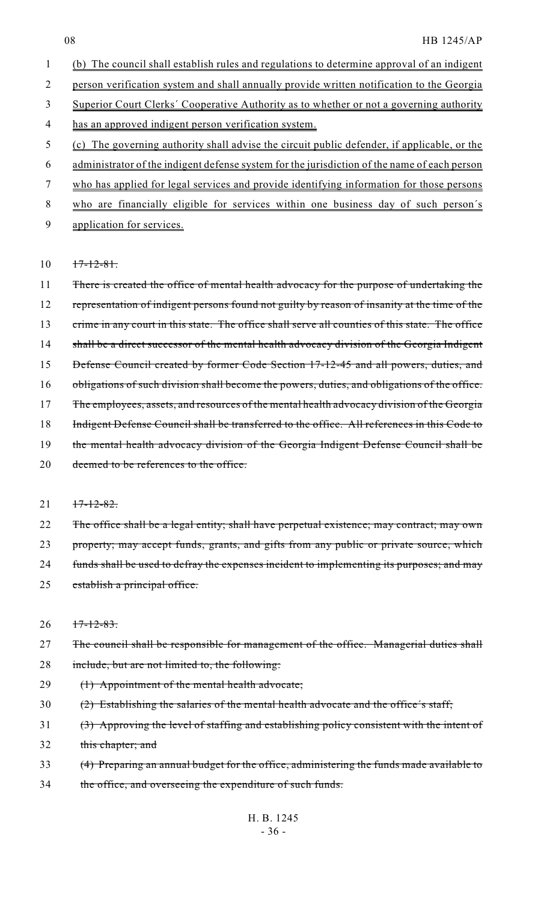- 1 (b) The council shall establish rules and regulations to determine approval of an indigent 2 person verification system and shall annually provide written notification to the Georgia 3 Superior Court Clerks´ Cooperative Authority as to whether or not a governing authority 4 has an approved indigent person verification system. 5 (c) The governing authority shall advise the circuit public defender, if applicable, or the 6 administrator of the indigent defense system for the jurisdiction of the name of each person 7 who has applied for legal services and provide identifying information for those persons
- 8 who are financially eligible for services within one business day of such person´s
- 9 application for services.

 $10 \frac{17-12-81}{2}$ 

- 11 There is created the office of mental health advocacy for the purpose of undertaking the 12 representation of indigent persons found not guilty by reason of insanity at the time of the 13 crime in any court in this state. The office shall serve all counties of this state. The office 14 shall be a direct successor of the mental health advocacy division of the Georgia Indigent 15 Defense Council created by former Code Section 17-12-45 and all powers, duties, and 16 obligations of such division shall become the powers, duties, and obligations of the office. 17 The employees, assets, and resources of the mental health advocacy division of the Georgia 18 Indigent Defense Council shall be transferred to the office. All references in this Code to 19 the mental health advocacy division of the Georgia Indigent Defense Council shall be
- 20 deemed to be references to the office.
- $21 \frac{17-12-82}{17}$
- 22 The office shall be a legal entity; shall have perpetual existence; may contract; may own 23 property; may accept funds, grants, and gifts from any public or private source, which 24 funds shall be used to defray the expenses incident to implementing its purposes; and may
- 25 establish a principal office.
- $26 \frac{17-12-83}{2}$
- 27 The council shall be responsible for management of the office. Managerial duties shall
- 28 include, but are not limited to, the following:
- 29 (1) Appointment of the mental health advocate;
- 30 (2) Establishing the salaries of the mental health advocate and the office´s staff;
- 31 (3) Approving the level of staffing and establishing policy consistent with the intent of
- 32 this chapter; and
- 33 (4) Preparing an annual budget for the office, administering the funds made available to
- 34 the office, and overseeing the expenditure of such funds.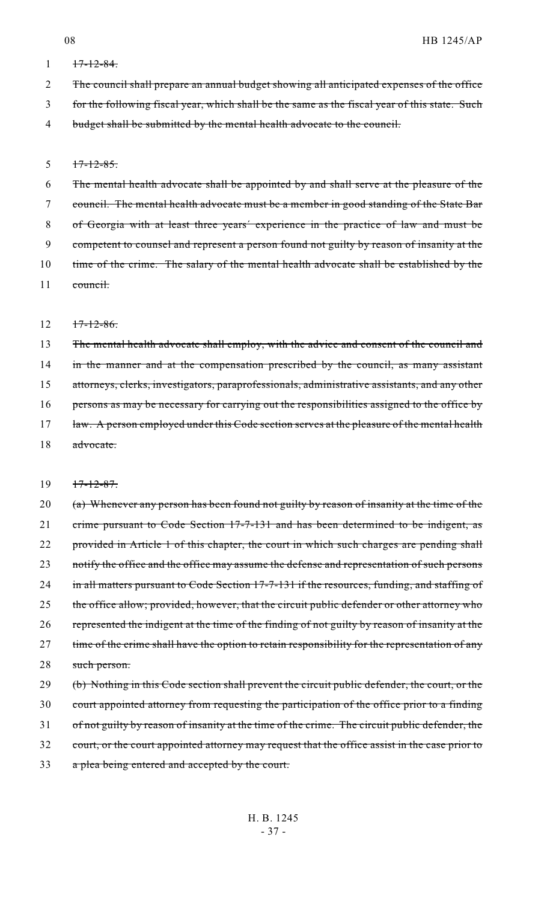- $1 + 7-12-84.$
- 2 The council shall prepare an annual budget showing all anticipated expenses of the office
- 3 for the following fiscal year, which shall be the same as the fiscal year of this state. Such
- 4 budget shall be submitted by the mental health advocate to the council.

 $5 \frac{17-12-85}{17}$ 

6 The mental health advocate shall be appointed by and shall serve at the pleasure of the 7 council. The mental health advocate must be a member in good standing of the State Bar 8 of Georgia with at least three years´ experience in the practice of law and must be 9 competent to counsel and represent a person found not guilty by reason of insanity at the 10 time of the crime. The salary of the mental health advocate shall be established by the 11 council.

 $12 \frac{17-12-86}{.}$ 

13 The mental health advocate shall employ, with the advice and consent of the council and 14 in the manner and at the compensation prescribed by the council, as many assistant 15 attorneys, clerks, investigators, paraprofessionals, administrative assistants, and any other 16 persons as may be necessary for carrying out the responsibilities assigned to the office by 17 law. A person employed under this Code section serves at the pleasure of the mental health 18 advocate.

 $19 \frac{17-12-87}{17}$ 

20 (a) Whenever any person has been found not guilty by reason of insanity at the time of the 21 crime pursuant to Code Section 17-7-131 and has been determined to be indigent, as 22 provided in Article 1 of this chapter, the court in which such charges are pending shall 23 notify the office and the office may assume the defense and representation of such persons 24 in all matters pursuant to Code Section 17-7-131 if the resources, funding, and staffing of 25 the office allow; provided, however, that the circuit public defender or other attorney who 26 represented the indigent at the time of the finding of not guilty by reason of insanity at the 27 time of the crime shall have the option to retain responsibility for the representation of any 28 such person. 29 (b) Nothing in this Code section shall prevent the circuit public defender, the court, or the 30 court appointed attorney from requesting the participation of the office prior to a finding 31 of not guilty by reason of insanity at the time of the crime. The circuit public defender, the

- 32 court, or the court appointed attorney may request that the office assist in the case prior to
- 33 a plea being entered and accepted by the court.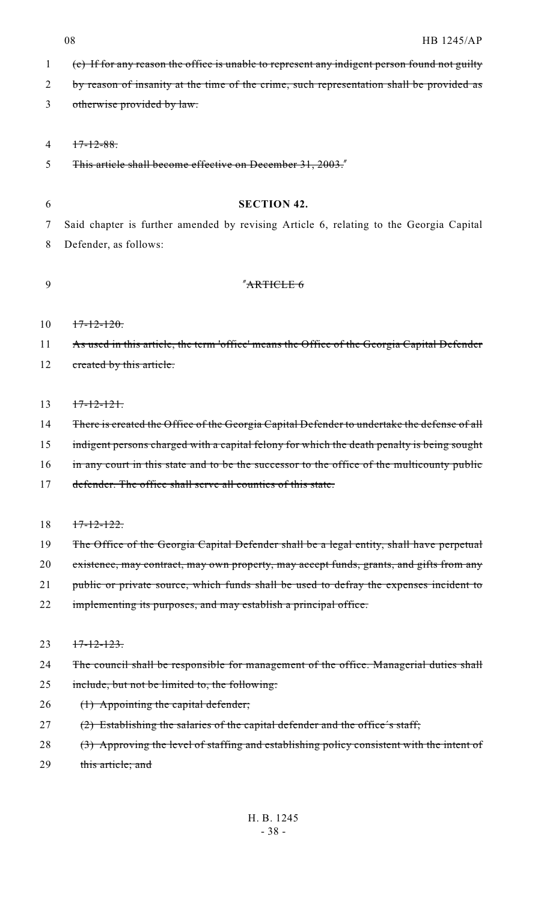- 1 (c) If for any reason the office is unable to represent any indigent person found not guilty
- 2 by reason of insanity at the time of the crime, such representation shall be provided as
- 3 otherwise provided by law.
- 4 17-12-88.

5 This article shall become effective on December 31, 2003."

- 6 **SECTION 42.** 7 Said chapter is further amended by revising Article 6, relating to the Georgia Capital 8 Defender, as follows:
- 

### 9 **ARTICLE 6**

 $10 \frac{17-12-120}{20}$ 

- 11 As used in this article, the term 'office' means the Office of the Georgia Capital Defender
- 12 created by this article.
- 13 17-12-121.
- 14 There is created the Office of the Georgia Capital Defender to undertake the defense of all
- 15 indigent persons charged with a capital felony for which the death penalty is being sought
- 16 in any court in this state and to be the successor to the office of the multicounty public
- 17 defender. The office shall serve all counties of this state.
- $18 \frac{17-12-122}{17}$
- 19 The Office of the Georgia Capital Defender shall be a legal entity, shall have perpetual
- 20 existence, may contract, may own property, may accept funds, grants, and gifts from any
- 21 public or private source, which funds shall be used to defray the expenses incident to
- 22 implementing its purposes, and may establish a principal office.
- 23 17-12-123.
- 24 The council shall be responsible for management of the office. Managerial duties shall
- 25 include, but not be limited to, the following:
- 26 (1) Appointing the capital defender;
- 27 (2) Establishing the salaries of the capital defender and the office's staff;
- 28 (3) Approving the level of staffing and establishing policy consistent with the intent of
- 29 this article; and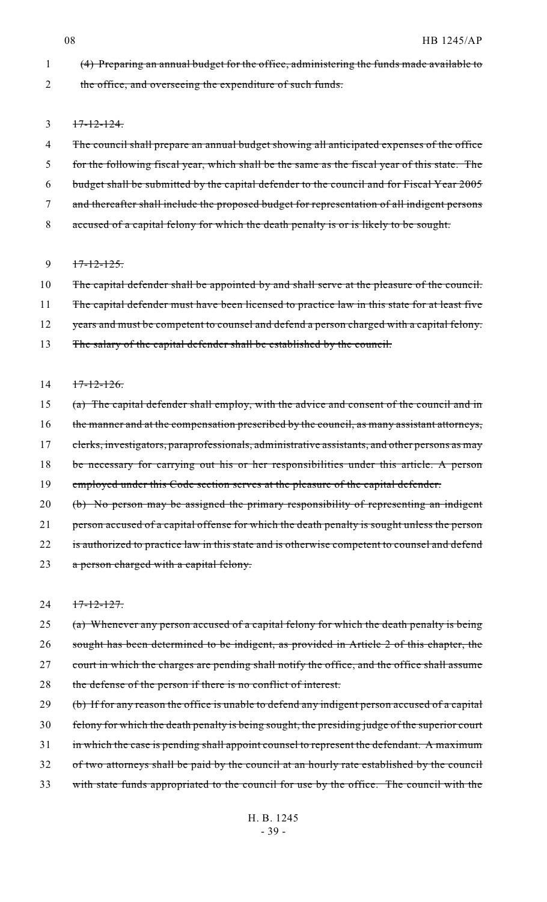- 1 (4) Preparing an annual budget for the office, administering the funds made available to 2 the office, and overseeing the expenditure of such funds.
- $3 + 7-12-124$ .
- 4 The council shall prepare an annual budget showing all anticipated expenses of the office 5 for the following fiscal year, which shall be the same as the fiscal year of this state. The 6 budget shall be submitted by the capital defender to the council and for Fiscal Year 2005 7 and thereafter shall include the proposed budget for representation of all indigent persons 8 accused of a capital felony for which the death penalty is or is likely to be sought.

 $9 \frac{17-12-125}{17-12}$ 

- 10 The capital defender shall be appointed by and shall serve at the pleasure of the council.
- 11 The capital defender must have been licensed to practice law in this state for at least five
- 12 years and must be competent to counsel and defend a person charged with a capital felony.
- 13 The salary of the capital defender shall be established by the council.

#### 14 17-12-126.

- 15 (a) The capital defender shall employ, with the advice and consent of the council and in 16 the manner and at the compensation prescribed by the council, as many assistant attorneys, 17 clerks, investigators, paraprofessionals, administrative assistants, and other persons as may 18 be necessary for carrying out his or her responsibilities under this article. A person 19 employed under this Code section serves at the pleasure of the capital defender. 20 (b) No person may be assigned the primary responsibility of representing an indigent 21 person accused of a capital offense for which the death penalty is sought unless the person 22 is authorized to practice law in this state and is otherwise competent to counsel and defend
- 23 a person charged with a capital felony.
- 24 17-12-127.
- 25 (a) Whenever any person accused of a capital felony for which the death penalty is being 26 sought has been determined to be indigent, as provided in Article 2 of this chapter, the 27 court in which the charges are pending shall notify the office, and the office shall assume 28 the defense of the person if there is no conflict of interest.
- 29 (b) If for any reason the office is unable to defend any indigent person accused of a capital 30 felony for which the death penalty is being sought, the presiding judge of the superior court 31 in which the case is pending shall appoint counsel to represent the defendant. A maximum 32 of two attorneys shall be paid by the council at an hourly rate established by the council 33 with state funds appropriated to the council for use by the office. The council with the